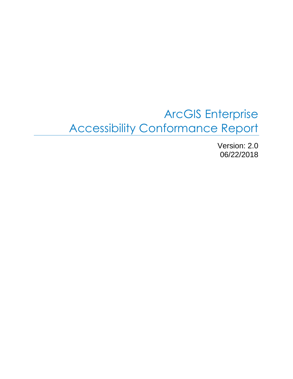# ArcGIS Enterprise Accessibility Conformance Report

Version: 2.0 06/22/2018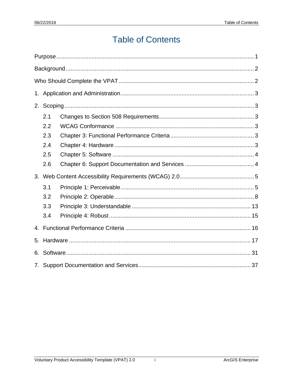# **Table of Contents**

| 2.          |     |  |  |  |
|-------------|-----|--|--|--|
|             | 2.1 |  |  |  |
|             | 2.2 |  |  |  |
|             | 2.3 |  |  |  |
|             | 2.4 |  |  |  |
|             | 2.5 |  |  |  |
|             | 2.6 |  |  |  |
| 3.          |     |  |  |  |
|             | 3.1 |  |  |  |
|             | 3.2 |  |  |  |
|             | 3.3 |  |  |  |
|             | 3.4 |  |  |  |
| $4_{\cdot}$ |     |  |  |  |
| 5.          |     |  |  |  |
| 6.          |     |  |  |  |
|             |     |  |  |  |

 $\mathbf{i}$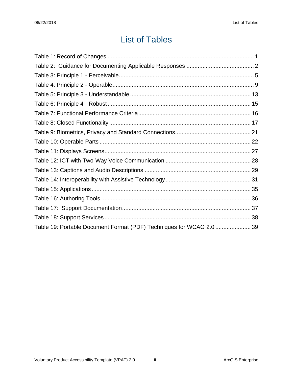# List of Tables

| Table 19: Portable Document Format (PDF) Techniques for WCAG 2.0  39 |  |
|----------------------------------------------------------------------|--|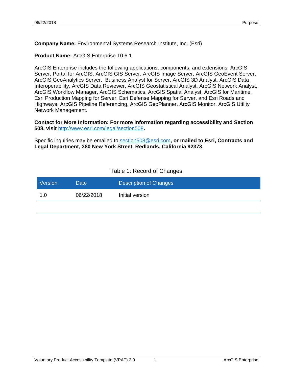**Company Name:** Environmental Systems Research Institute, Inc. (Esri)

**Product Name:** ArcGIS Enterprise 10.6.1

ArcGIS Enterprise includes the following applications, components, and extensions: ArcGIS Server, Portal for ArcGIS, ArcGIS GIS Server, ArcGIS Image Server, ArcGIS GeoEvent Server, ArcGIS GeoAnalytics Server, Business Analyst for Server, ArcGIS 3D Analyst, ArcGIS Data Interoperability, ArcGIS Data Reviewer, ArcGIS Geostatistical Analyst, ArcGIS Network Analyst, ArcGIS Workflow Manager, ArcGIS Schematics, ArcGIS Spatial Analyst, ArcGIS for Maritime, Esri Production Mapping for Server, Esri Defense Mapping for Server, and Esri Roads and Highways, ArcGIS Pipeline Referencing, ArcGIS GeoPlanner, ArcGIS Monitor, ArcGIS Utility Network Management.

**Contact for More Information: For more information regarding accessibility and Section 508, visit** <http://www.esri.com/legal/section508>**.** 

Specific inquiries may be emailed to [section508@esri.com](mailto:section508@esri.com)**, or mailed to Esri, Contracts and Legal Department, 380 New York Street, Redlands, California 92373.**

#### Table 1: Record of Changes

<span id="page-3-0"></span>

| <b>Version</b> | Date       | Description of Changes |
|----------------|------------|------------------------|
| 1.0            | 06/22/2018 | Initial version        |
|                |            |                        |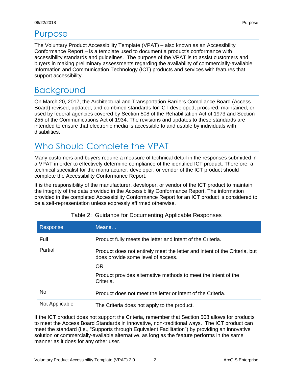## Purpose

The Voluntary Product Accessibility Template (VPAT) – also known as an Accessibility Conformance Report – is a template used to document a product's conformance with accessibility standards and guidelines. The purpose of the VPAT is to assist customers and buyers in making preliminary assessments regarding the availability of commercially-available Information and Communication Technology (ICT) products and services with features that support accessibility.

# <span id="page-4-0"></span>**Background**

On March 20, 2017, the Architectural and Transportation Barriers Compliance Board (Access Board) revised, updated, and combined standards for ICT developed, procured, maintained, or used by federal agencies covered by Section 508 of the Rehabilitation Act of 1973 and Section 255 of the Communications Act of 1934. The revisions and updates to these standards are intended to ensure that electronic media is accessible to and usable by individuals with disabilities.

# <span id="page-4-1"></span>Who Should Complete the VPAT

Many customers and buyers require a measure of technical detail in the responses submitted in a VPAT in order to effectively determine compliance of the identified ICT product. Therefore, a technical specialist for the manufacturer, developer, or vendor of the ICT product should complete the Accessibility Conformance Report.

It is the responsibility of the manufacturer, developer, or vendor of the ICT product to maintain the integrity of the data provided in the Accessibility Conformance Report. The information provided in the completed Accessibility Conformance Report for an ICT product is considered to be a self-representation unless expressly affirmed otherwise.

| Response       | MeanS                                                                                                           |
|----------------|-----------------------------------------------------------------------------------------------------------------|
| Full           | Product fully meets the letter and intent of the Criteria.                                                      |
| Partial        | Product does not entirely meet the letter and intent of the Criteria, but<br>does provide some level of access. |
|                | <b>OR</b>                                                                                                       |
|                | Product provides alternative methods to meet the intent of the<br>Criteria.                                     |
| No             | Product does not meet the letter or intent of the Criteria.                                                     |
| Not Applicable | The Criteria does not apply to the product.                                                                     |

|  |  | Table 2: Guidance for Documenting Applicable Responses |  |
|--|--|--------------------------------------------------------|--|
|--|--|--------------------------------------------------------|--|

If the ICT product does not support the Criteria, remember that Section 508 allows for products to meet the Access Board Standards in innovative, non-traditional ways. The ICT product can meet the standard (i.e., "Supports through Equivalent Facilitation") by providing an innovative solution or commercially-available alternative, as long as the feature performs in the same manner as it does for any other user.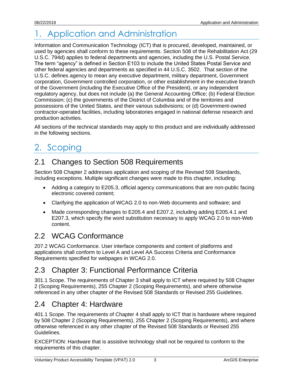# <span id="page-5-0"></span>1. Application and Administration

Information and Communication Technology (ICT) that is procured, developed, maintained, or used by agencies shall conform to these requirements. Section 508 of the Rehabilitation Act (29 U.S.C. 794d) applies to federal departments and agencies, including the U.S. Postal Service. The term "agency" is defined in Section E103 to include the United States Postal Service and other federal agencies and departments as specified in 44 U.S.C. 3502. That section of the U.S.C. defines agency to mean any executive department, military department, Government corporation, Government controlled corporation, or other establishment in the executive branch of the Government (including the Executive Office of the President), or any independent regulatory agency, but does not include (a) the General Accounting Office; (b) Federal Election Commission; (c) the governments of the District of Columbia and of the territories and possessions of the United States, and their various subdivisions; or (d) Government-owned contractor-operated facilities, including laboratories engaged in national defense research and production activities.

All sections of the technical standards may apply to this product and are individually addressed in the following sections.

# <span id="page-5-1"></span>2. Scoping

## <span id="page-5-2"></span>2.1 Changes to Section 508 Requirements

Section 508 Chapter 2 addresses application and scoping of the Revised 508 Standards, including exceptions. Multiple significant changes were made to this chapter, including:

- Adding a category to E205.3, official agency communications that are non-public facing electronic covered content;
- Clarifying the application of WCAG 2.0 to non-Web documents and software; and
- Made corresponding changes to E205.4 and E207.2, including adding E205.4.1 and E207.3, which specify the word substitution necessary to apply WCAG 2.0 to non-Web content.

## <span id="page-5-3"></span>2.2 WCAG Conformance

207.2 WCAG Conformance. User interface components and content of platforms and applications shall conform to Level A and Level AA Success Criteria and Conformance Requirements specified for webpages in WCAG 2.0.

## <span id="page-5-4"></span>2.3 Chapter 3: Functional Performance Criteria

301.1 Scope. The requirements of Chapter 3 shall apply to ICT where required by 508 Chapter 2 (Scoping Requirements), 255 Chapter 2 (Scoping Requirements), and where otherwise referenced in any other chapter of the Revised 508 Standards or Revised 255 Guidelines.

### <span id="page-5-5"></span>2.4 Chapter 4: Hardware

401.1 Scope. The requirements of Chapter 4 shall apply to ICT that is hardware where required by 508 Chapter 2 (Scoping Requirements), 255 Chapter 2 (Scoping Requirements), and where otherwise referenced in any other chapter of the Revised 508 Standards or Revised 255 Guidelines.

EXCEPTION: Hardware that is assistive technology shall not be required to conform to the requirements of this chapter.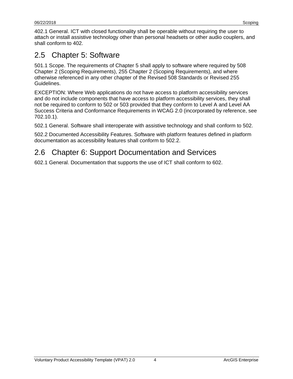402.1 General. ICT with closed functionality shall be operable without requiring the user to attach or install assistive technology other than personal headsets or other audio couplers, and shall conform to 402.

## <span id="page-6-0"></span>2.5 Chapter 5: Software

501.1 Scope. The requirements of Chapter 5 shall apply to software where required by 508 Chapter 2 (Scoping Requirements), 255 Chapter 2 (Scoping Requirements), and where otherwise referenced in any other chapter of the Revised 508 Standards or Revised 255 Guidelines.

EXCEPTION: Where Web applications do not have access to platform accessibility services and do not include components that have access to platform accessibility services, they shall not be required to conform to 502 or 503 provided that they conform to Level A and Level AA Success Criteria and Conformance Requirements in WCAG 2.0 (incorporated by reference, see 702.10.1).

502.1 General. Software shall interoperate with assistive technology and shall conform to 502.

502.2 Documented Accessibility Features. Software with platform features defined in platform documentation as accessibility features shall conform to 502.2.

## <span id="page-6-1"></span>2.6 Chapter 6: Support Documentation and Services

602.1 General. Documentation that supports the use of ICT shall conform to 602.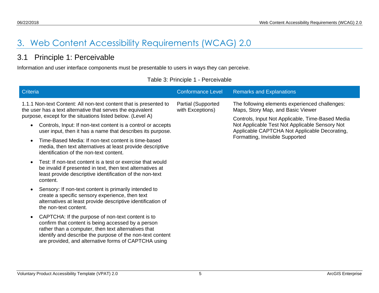# 3. Web Content Accessibility Requirements (WCAG) 2.0

## 3.1 Principle 1: Perceivable

Information and user interface components must be presentable to users in ways they can perceive.

<span id="page-7-1"></span><span id="page-7-0"></span>

| <b>Criteria</b>                                                                                                                                                                                                                                                                     | <b>Conformance Level</b>                      | <b>Remarks and Explanations</b>                                                                                                                     |
|-------------------------------------------------------------------------------------------------------------------------------------------------------------------------------------------------------------------------------------------------------------------------------------|-----------------------------------------------|-----------------------------------------------------------------------------------------------------------------------------------------------------|
| 1.1.1 Non-text Content: All non-text content that is presented to<br>the user has a text alternative that serves the equivalent<br>purpose, except for the situations listed below. (Level A)                                                                                       | <b>Partial (Supported</b><br>with Exceptions) | The following elements experienced challenges:<br>Maps, Story Map, and Basic Viewer                                                                 |
| Controls, Input: If non-text content is a control or accepts<br>user input, then it has a name that describes its purpose.                                                                                                                                                          |                                               | Controls, Input Not Applicable, Time-Based Media<br>Not Applicable Test Not Applicable Sensory Not<br>Applicable CAPTCHA Not Applicable Decorating, |
| Time-Based Media: If non-text content is time-based<br>media, then text alternatives at least provide descriptive<br>identification of the non-text content.                                                                                                                        |                                               | Formatting, Invisible Supported                                                                                                                     |
| Test: If non-text content is a test or exercise that would<br>be invalid if presented in text, then text alternatives at<br>least provide descriptive identification of the non-text<br>content.                                                                                    |                                               |                                                                                                                                                     |
| Sensory: If non-text content is primarily intended to<br>create a specific sensory experience, then text<br>alternatives at least provide descriptive identification of<br>the non-text content.                                                                                    |                                               |                                                                                                                                                     |
| CAPTCHA: If the purpose of non-text content is to<br>confirm that content is being accessed by a person<br>rather than a computer, then text alternatives that<br>identify and describe the purpose of the non-text content<br>are provided, and alternative forms of CAPTCHA using |                                               |                                                                                                                                                     |

#### Table 3: Principle 1 - Perceivable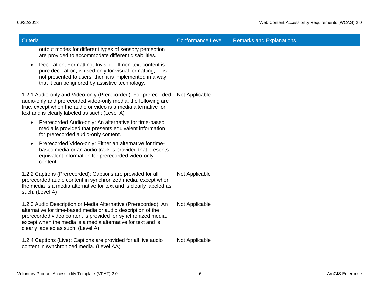| Criteria                                                                                                                                                                                                                                                                                              | <b>Conformance Level</b> | <b>Remarks and Explanations</b> |
|-------------------------------------------------------------------------------------------------------------------------------------------------------------------------------------------------------------------------------------------------------------------------------------------------------|--------------------------|---------------------------------|
| output modes for different types of sensory perception<br>are provided to accommodate different disabilities.                                                                                                                                                                                         |                          |                                 |
| Decoration, Formatting, Invisible: If non-text content is<br>$\bullet$<br>pure decoration, is used only for visual formatting, or is<br>not presented to users, then it is implemented in a way<br>that it can be ignored by assistive technology.                                                    |                          |                                 |
| 1.2.1 Audio-only and Video-only (Prerecorded): For prerecorded<br>audio-only and prerecorded video-only media, the following are<br>true, except when the audio or video is a media alternative for<br>text and is clearly labeled as such: (Level A)                                                 | Not Applicable           |                                 |
| Prerecorded Audio-only: An alternative for time-based<br>$\bullet$<br>media is provided that presents equivalent information<br>for prerecorded audio-only content.                                                                                                                                   |                          |                                 |
| Prerecorded Video-only: Either an alternative for time-<br>$\bullet$<br>based media or an audio track is provided that presents<br>equivalent information for prerecorded video-only<br>content.                                                                                                      |                          |                                 |
| 1.2.2 Captions (Prerecorded): Captions are provided for all<br>prerecorded audio content in synchronized media, except when<br>the media is a media alternative for text and is clearly labeled as<br>such. (Level A)                                                                                 | Not Applicable           |                                 |
| 1.2.3 Audio Description or Media Alternative (Prerecorded): An<br>alternative for time-based media or audio description of the<br>prerecorded video content is provided for synchronized media,<br>except when the media is a media alternative for text and is<br>clearly labeled as such. (Level A) | Not Applicable           |                                 |
| 1.2.4 Captions (Live): Captions are provided for all live audio<br>content in synchronized media. (Level AA)                                                                                                                                                                                          | Not Applicable           |                                 |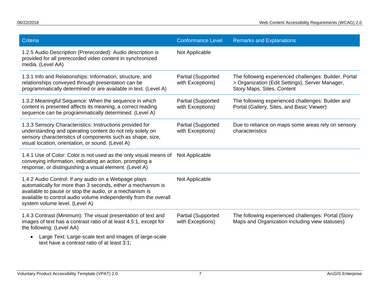| Criteria                                                                                                                                                                                                                                                                              | <b>Conformance Level</b>               | <b>Remarks and Explanations</b>                                                                                                        |
|---------------------------------------------------------------------------------------------------------------------------------------------------------------------------------------------------------------------------------------------------------------------------------------|----------------------------------------|----------------------------------------------------------------------------------------------------------------------------------------|
| 1.2.5 Audio Description (Prerecorded): Audio description is<br>provided for all prerecorded video content in synchronized<br>media. (Level AA)                                                                                                                                        | Not Applicable                         |                                                                                                                                        |
| 1.3.1 Info and Relationships: Information, structure, and<br>relationships conveyed through presentation can be<br>programmatically determined or are available in text. (Level A)                                                                                                    | Partial (Supported<br>with Exceptions) | The following experienced challenges: Builder, Portal<br>> Organization (Edit Settings), Server Manager,<br>Story Maps, Sites, Content |
| 1.3.2 Meaningful Sequence: When the sequence in which<br>content is presented affects its meaning, a correct reading<br>sequence can be programmatically determined. (Level A)                                                                                                        | Partial (Supported<br>with Exceptions) | The following experienced challenges: Builder and<br>Portal (Gallery, Sites, and Basic Viewer)                                         |
| 1.3.3 Sensory Characteristics: Instructions provided for<br>understanding and operating content do not rely solely on<br>sensory characteristics of components such as shape, size,<br>visual location, orientation, or sound. (Level A)                                              | Partial (Supported<br>with Exceptions) | Due to reliance on maps some areas rely on sensory<br>characteristics                                                                  |
| 1.4.1 Use of Color: Color is not used as the only visual means of<br>conveying information, indicating an action, prompting a<br>response, or distinguishing a visual element. (Level A)                                                                                              | Not Applicable                         |                                                                                                                                        |
| 1.4.2 Audio Control: If any audio on a Webpage plays<br>automatically for more than 3 seconds, either a mechanism is<br>available to pause or stop the audio, or a mechanism is<br>available to control audio volume independently from the overall<br>system volume level. (Level A) | Not Applicable                         |                                                                                                                                        |
| 1.4.3 Contrast (Minimum): The visual presentation of text and<br>images of text has a contrast ratio of at least 4.5:1, except for<br>the following: (Level AA)                                                                                                                       | Partial (Supported<br>with Exceptions) | The following experienced challenges: Portal (Story<br>Maps and Organization including view statuses)                                  |
| Large Text: Large-scale text and images of large-scale<br>$\bullet$<br>text have a contrast ratio of at least 3:1;                                                                                                                                                                    |                                        |                                                                                                                                        |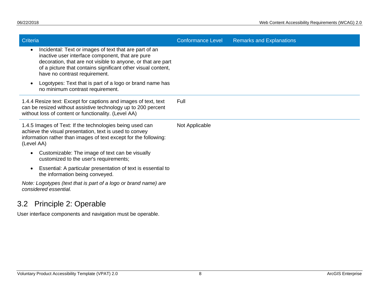| Criteria                                                                                                                                                                                                                                                                    | <b>Conformance Level</b> | <b>Remarks and Explanations</b> |
|-----------------------------------------------------------------------------------------------------------------------------------------------------------------------------------------------------------------------------------------------------------------------------|--------------------------|---------------------------------|
| Incidental: Text or images of text that are part of an<br>inactive user interface component, that are pure<br>decoration, that are not visible to anyone, or that are part<br>of a picture that contains significant other visual content,<br>have no contrast requirement. |                          |                                 |
| Logotypes: Text that is part of a logo or brand name has<br>no minimum contrast requirement.                                                                                                                                                                                |                          |                                 |
| 1.4.4 Resize text: Except for captions and images of text, text<br>can be resized without assistive technology up to 200 percent<br>without loss of content or functionality. (Level AA)                                                                                    | Full                     |                                 |
| 1.4.5 Images of Text: If the technologies being used can<br>achieve the visual presentation, text is used to convey<br>information rather than images of text except for the following:<br>(Level AA)                                                                       | Not Applicable           |                                 |
| Customizable: The image of text can be visually<br>customized to the user's requirements;                                                                                                                                                                                   |                          |                                 |
| Essential: A particular presentation of text is essential to<br>the information being conveyed.                                                                                                                                                                             |                          |                                 |
| Note: Logotypes (text that is part of a logo or brand name) are<br>considered essential.                                                                                                                                                                                    |                          |                                 |
| 3.2<br>Principle 2: Operable                                                                                                                                                                                                                                                |                          |                                 |

<span id="page-10-0"></span>User interface components and navigation must be operable.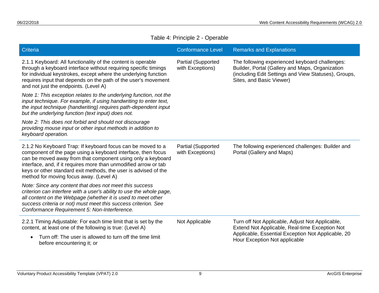|  |  | Table 4: Principle 2 - Operable |
|--|--|---------------------------------|
|--|--|---------------------------------|

| Criteria                                                                                                                                                                                                                                                                                                                                                                     | <b>Conformance Level</b>               | <b>Remarks and Explanations</b>                                                                                                                                                          |
|------------------------------------------------------------------------------------------------------------------------------------------------------------------------------------------------------------------------------------------------------------------------------------------------------------------------------------------------------------------------------|----------------------------------------|------------------------------------------------------------------------------------------------------------------------------------------------------------------------------------------|
| 2.1.1 Keyboard: All functionality of the content is operable<br>through a keyboard interface without requiring specific timings<br>for individual keystrokes, except where the underlying function<br>requires input that depends on the path of the user's movement<br>and not just the endpoints. (Level A)                                                                | Partial (Supported<br>with Exceptions) | The following experienced keyboard challenges:<br>Builder, Portal (Gallery and Maps, Organization<br>(including Edit Settings and View Statuses), Groups,<br>Sites, and Basic Viewer)    |
| Note 1: This exception relates to the underlying function, not the<br>input technique. For example, if using handwriting to enter text,<br>the input technique (handwriting) requires path-dependent input<br>but the underlying function (text input) does not.                                                                                                             |                                        |                                                                                                                                                                                          |
| Note 2: This does not forbid and should not discourage<br>providing mouse input or other input methods in addition to<br>keyboard operation.                                                                                                                                                                                                                                 |                                        |                                                                                                                                                                                          |
| 2.1.2 No Keyboard Trap: If keyboard focus can be moved to a<br>component of the page using a keyboard interface, then focus<br>can be moved away from that component using only a keyboard<br>interface, and, if it requires more than unmodified arrow or tab<br>keys or other standard exit methods, the user is advised of the<br>method for moving focus away. (Level A) | Partial (Supported<br>with Exceptions) | The following experienced challenges: Builder and<br>Portal (Gallery and Maps)                                                                                                           |
| Note: Since any content that does not meet this success<br>criterion can interfere with a user's ability to use the whole page,<br>all content on the Webpage (whether it is used to meet other<br>success criteria or not) must meet this success criterion. See<br>Conformance Requirement 5: Non-Interference.                                                            |                                        |                                                                                                                                                                                          |
| 2.2.1 Timing Adjustable: For each time limit that is set by the<br>content, at least one of the following is true: (Level A)                                                                                                                                                                                                                                                 | Not Applicable                         | Turn off Not Applicable, Adjust Not Applicable,<br>Extend Not Applicable, Real-time Exception Not<br>Applicable, Essential Exception Not Applicable, 20<br>Hour Exception Not applicable |
| Turn off: The user is allowed to turn off the time limit<br>$\bullet$<br>before encountering it; or                                                                                                                                                                                                                                                                          |                                        |                                                                                                                                                                                          |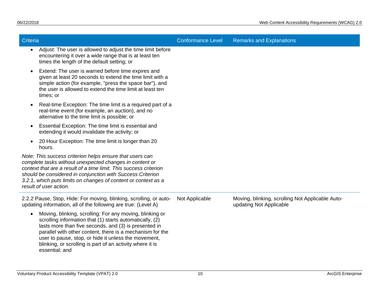| Criteria                                                                                                                                                                                                                                                                                                                                                                          | <b>Conformance Level</b> | <b>Remarks and Explanations</b>                                             |
|-----------------------------------------------------------------------------------------------------------------------------------------------------------------------------------------------------------------------------------------------------------------------------------------------------------------------------------------------------------------------------------|--------------------------|-----------------------------------------------------------------------------|
| Adjust: The user is allowed to adjust the time limit before<br>$\bullet$<br>encountering it over a wide range that is at least ten<br>times the length of the default setting; or                                                                                                                                                                                                 |                          |                                                                             |
| Extend: The user is warned before time expires and<br>$\bullet$<br>given at least 20 seconds to extend the time limit with a<br>simple action (for example, "press the space bar"), and<br>the user is allowed to extend the time limit at least ten<br>times; or                                                                                                                 |                          |                                                                             |
| Real-time Exception: The time limit is a required part of a<br>$\bullet$<br>real-time event (for example, an auction), and no<br>alternative to the time limit is possible; or                                                                                                                                                                                                    |                          |                                                                             |
| Essential Exception: The time limit is essential and<br>$\bullet$<br>extending it would invalidate the activity; or                                                                                                                                                                                                                                                               |                          |                                                                             |
| 20 Hour Exception: The time limit is longer than 20<br>$\bullet$<br>hours.                                                                                                                                                                                                                                                                                                        |                          |                                                                             |
| Note: This success criterion helps ensure that users can<br>complete tasks without unexpected changes in content or<br>context that are a result of a time limit. This success criterion<br>should be considered in conjunction with Success Criterion<br>3.2.1, which puts limits on changes of content or context as a<br>result of user action.                                |                          |                                                                             |
| 2.2.2 Pause, Stop, Hide: For moving, blinking, scrolling, or auto-<br>updating information, all of the following are true: (Level A)                                                                                                                                                                                                                                              | Not Applicable           | Moving, blinking, scrolling Not Applicable Auto-<br>updating Not Applicable |
| Moving, blinking, scrolling: For any moving, blinking or<br>scrolling information that (1) starts automatically, (2)<br>lasts more than five seconds, and (3) is presented in<br>parallel with other content, there is a mechanism for the<br>user to pause, stop, or hide it unless the movement,<br>blinking, or scrolling is part of an activity where it is<br>essential; and |                          |                                                                             |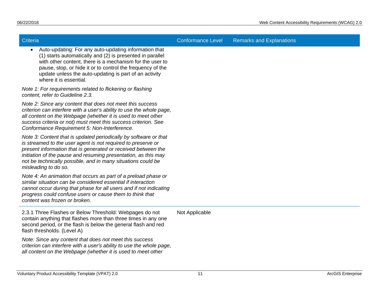| Criteria                                                                                                                                                                                                                                                                                                                                                    | <b>Conformance Level</b> | <b>Remarks and Explanations</b> |
|-------------------------------------------------------------------------------------------------------------------------------------------------------------------------------------------------------------------------------------------------------------------------------------------------------------------------------------------------------------|--------------------------|---------------------------------|
| Auto-updating: For any auto-updating information that<br>(1) starts automatically and (2) is presented in parallel<br>with other content, there is a mechanism for the user to<br>pause, stop, or hide it or to control the frequency of the<br>update unless the auto-updating is part of an activity<br>where it is essential.                            |                          |                                 |
| Note 1: For requirements related to flickering or flashing<br>content, refer to Guideline 2.3.                                                                                                                                                                                                                                                              |                          |                                 |
| Note 2: Since any content that does not meet this success<br>criterion can interfere with a user's ability to use the whole page,<br>all content on the Webpage (whether it is used to meet other<br>success criteria or not) must meet this success criterion. See<br>Conformance Requirement 5: Non-Interference.                                         |                          |                                 |
| Note 3: Content that is updated periodically by software or that<br>is streamed to the user agent is not required to preserve or<br>present information that is generated or received between the<br>initiation of the pause and resuming presentation, as this may<br>not be technically possible, and in many situations could be<br>misleading to do so. |                          |                                 |
| Note 4: An animation that occurs as part of a preload phase or<br>similar situation can be considered essential if interaction<br>cannot occur during that phase for all users and if not indicating<br>progress could confuse users or cause them to think that<br>content was frozen or broken.                                                           |                          |                                 |
| 2.3.1 Three Flashes or Below Threshold: Webpages do not<br>contain anything that flashes more than three times in any one<br>second period, or the flash is below the general flash and red<br>flash thresholds. (Level A)                                                                                                                                  | Not Applicable           |                                 |
| Note: Since any content that does not meet this success<br>criterion can interfere with a user's ability to use the whole page,<br>all content on the Webpage (whether it is used to meet other                                                                                                                                                             |                          |                                 |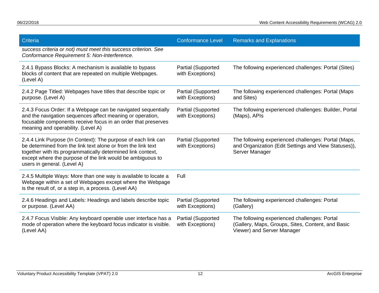| Criteria                                                                                                                                                                                                                                                                                  | <b>Conformance Level</b>                      | <b>Remarks and Explanations</b>                                                                                                 |
|-------------------------------------------------------------------------------------------------------------------------------------------------------------------------------------------------------------------------------------------------------------------------------------------|-----------------------------------------------|---------------------------------------------------------------------------------------------------------------------------------|
| success criteria or not) must meet this success criterion. See<br>Conformance Requirement 5: Non-Interference.                                                                                                                                                                            |                                               |                                                                                                                                 |
| 2.4.1 Bypass Blocks: A mechanism is available to bypass<br>blocks of content that are repeated on multiple Webpages.<br>(Level A)                                                                                                                                                         | Partial (Supported<br>with Exceptions)        | The following experienced challenges: Portal (Sites)                                                                            |
| 2.4.2 Page Titled: Webpages have titles that describe topic or<br>purpose. (Level A)                                                                                                                                                                                                      | <b>Partial (Supported</b><br>with Exceptions) | The following experienced challenges: Portal (Maps<br>and Sites)                                                                |
| 2.4.3 Focus Order: If a Webpage can be navigated sequentially<br>and the navigation sequences affect meaning or operation,<br>focusable components receive focus in an order that preserves<br>meaning and operability. (Level A)                                                         | <b>Partial (Supported</b><br>with Exceptions) | The following experienced challenges: Builder, Portal<br>(Maps), APIs                                                           |
| 2.4.4 Link Purpose (In Context): The purpose of each link can<br>be determined from the link text alone or from the link text<br>together with its programmatically determined link context,<br>except where the purpose of the link would be ambiguous to<br>users in general. (Level A) | <b>Partial (Supported</b><br>with Exceptions) | The following experienced challenges: Portal (Maps,<br>and Organization (Edit Settings and View Statuses)),<br>Server Manager   |
| 2.4.5 Multiple Ways: More than one way is available to locate a<br>Webpage within a set of Webpages except where the Webpage<br>is the result of, or a step in, a process. (Level AA)                                                                                                     | Full                                          |                                                                                                                                 |
| 2.4.6 Headings and Labels: Headings and labels describe topic<br>or purpose. (Level AA)                                                                                                                                                                                                   | <b>Partial (Supported</b><br>with Exceptions) | The following experienced challenges: Portal<br>(Gallery)                                                                       |
| 2.4.7 Focus Visible: Any keyboard operable user interface has a<br>mode of operation where the keyboard focus indicator is visible.<br>(Level AA)                                                                                                                                         | <b>Partial (Supported</b><br>with Exceptions) | The following experienced challenges: Portal<br>(Gallery, Maps, Groups, Sites, Content, and Basic<br>Viewer) and Server Manager |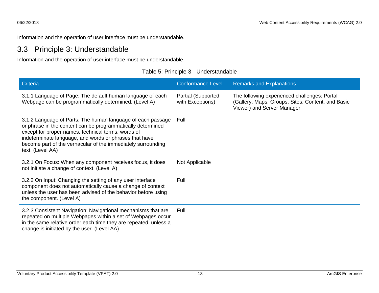Information and the operation of user interface must be understandable.

## 3.3 Principle 3: Understandable

Information and the operation of user interface must be understandable.

<span id="page-15-0"></span>

| <b>Criteria</b>                                                                                                                                                                                                                                                                                                                | <b>Conformance Level</b>               | <b>Remarks and Explanations</b>                                                                                                 |
|--------------------------------------------------------------------------------------------------------------------------------------------------------------------------------------------------------------------------------------------------------------------------------------------------------------------------------|----------------------------------------|---------------------------------------------------------------------------------------------------------------------------------|
| 3.1.1 Language of Page: The default human language of each<br>Webpage can be programmatically determined. (Level A)                                                                                                                                                                                                            | Partial (Supported<br>with Exceptions) | The following experienced challenges: Portal<br>(Gallery, Maps, Groups, Sites, Content, and Basic<br>Viewer) and Server Manager |
| 3.1.2 Language of Parts: The human language of each passage<br>or phrase in the content can be programmatically determined<br>except for proper names, technical terms, words of<br>indeterminate language, and words or phrases that have<br>become part of the vernacular of the immediately surrounding<br>text. (Level AA) | Full                                   |                                                                                                                                 |
| 3.2.1 On Focus: When any component receives focus, it does<br>not initiate a change of context. (Level A)                                                                                                                                                                                                                      | Not Applicable                         |                                                                                                                                 |
| 3.2.2 On Input: Changing the setting of any user interface<br>component does not automatically cause a change of context<br>unless the user has been advised of the behavior before using<br>the component. (Level A)                                                                                                          | Full                                   |                                                                                                                                 |
| 3.2.3 Consistent Navigation: Navigational mechanisms that are<br>repeated on multiple Webpages within a set of Webpages occur<br>in the same relative order each time they are repeated, unless a<br>change is initiated by the user. (Level AA)                                                                               | Full                                   |                                                                                                                                 |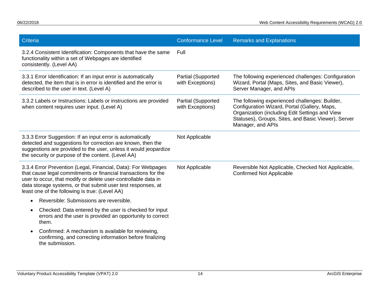<span id="page-16-0"></span>

| Criteria                                                                                                                                                                                                                                                                                                            | <b>Conformance Level</b>               | <b>Remarks and Explanations</b>                                                                                                                                                                                              |
|---------------------------------------------------------------------------------------------------------------------------------------------------------------------------------------------------------------------------------------------------------------------------------------------------------------------|----------------------------------------|------------------------------------------------------------------------------------------------------------------------------------------------------------------------------------------------------------------------------|
| 3.2.4 Consistent Identification: Components that have the same<br>functionality within a set of Webpages are identified<br>consistently. (Level AA)                                                                                                                                                                 | Full                                   |                                                                                                                                                                                                                              |
| 3.3.1 Error Identification: If an input error is automatically<br>detected, the item that is in error is identified and the error is<br>described to the user in text. (Level A)                                                                                                                                    | Partial (Supported<br>with Exceptions) | The following experienced challenges: Configuration<br>Wizard, Portal (Maps, Sites, and Basic Viewer),<br>Server Manager, and APIs                                                                                           |
| 3.3.2 Labels or Instructions: Labels or instructions are provided<br>when content requires user input. (Level A)                                                                                                                                                                                                    | Partial (Supported<br>with Exceptions) | The following experienced challenges: Builder,<br>Configuration Wizard, Portal (Gallery, Maps,<br>Organization (including Edit Settings and View<br>Statuses), Groups, Sites, and Basic Viewer), Server<br>Manager, and APIs |
| 3.3.3 Error Suggestion: If an input error is automatically<br>detected and suggestions for correction are known, then the<br>suggestions are provided to the user, unless it would jeopardize<br>the security or purpose of the content. (Level AA)                                                                 | Not Applicable                         |                                                                                                                                                                                                                              |
| 3.3.4 Error Prevention (Legal, Financial, Data): For Webpages<br>that cause legal commitments or financial transactions for the<br>user to occur, that modify or delete user-controllable data in<br>data storage systems, or that submit user test responses, at<br>least one of the following is true: (Level AA) | Not Applicable                         | Reversible Not Applicable, Checked Not Applicable,<br><b>Confirmed Not Applicable</b>                                                                                                                                        |
| Reversible: Submissions are reversible.<br>$\bullet$                                                                                                                                                                                                                                                                |                                        |                                                                                                                                                                                                                              |
| Checked: Data entered by the user is checked for input<br>٠<br>errors and the user is provided an opportunity to correct<br>them.                                                                                                                                                                                   |                                        |                                                                                                                                                                                                                              |
| Confirmed: A mechanism is available for reviewing,<br>confirming, and correcting information before finalizing<br>the submission.                                                                                                                                                                                   |                                        |                                                                                                                                                                                                                              |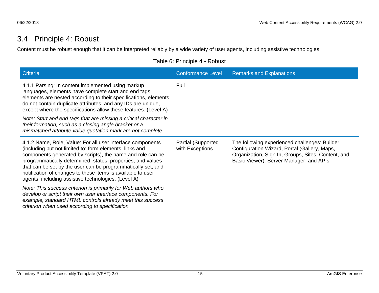## 3.4 Principle 4: Robust

Content must be robust enough that it can be interpreted reliably by a wide variety of user agents, including assistive technologies.

Table 6: Principle 4 - Robust

| Criteria                                                                                                                                                                                                                                                                                                                                                                                                                                 | <b>Conformance Level</b>                     | <b>Remarks and Explanations</b>                                                                                                                                                                 |
|------------------------------------------------------------------------------------------------------------------------------------------------------------------------------------------------------------------------------------------------------------------------------------------------------------------------------------------------------------------------------------------------------------------------------------------|----------------------------------------------|-------------------------------------------------------------------------------------------------------------------------------------------------------------------------------------------------|
| 4.1.1 Parsing: In content implemented using markup<br>languages, elements have complete start and end tags,<br>elements are nested according to their specifications, elements<br>do not contain duplicate attributes, and any IDs are unique,<br>except where the specifications allow these features. (Level A)                                                                                                                        | Full                                         |                                                                                                                                                                                                 |
| Note: Start and end tags that are missing a critical character in<br>their formation, such as a closing angle bracket or a<br>mismatched attribute value quotation mark are not complete.                                                                                                                                                                                                                                                |                                              |                                                                                                                                                                                                 |
| 4.1.2 Name, Role, Value: For all user interface components<br>(including but not limited to: form elements, links and<br>components generated by scripts), the name and role can be<br>programmatically determined; states, properties, and values<br>that can be set by the user can be programmatically set; and<br>notification of changes to these items is available to user<br>agents, including assistive technologies. (Level A) | <b>Partial (Supported</b><br>with Exceptions | The following experienced challenges: Builder,<br>Configuration Wizard, Portal (Gallery, Maps,<br>Organization, Sign In, Groups, Sites, Content, and<br>Basic Viewer), Server Manager, and APIs |
| Note: This success criterion is primarily for Web authors who<br>develop or script their own user interface components. For<br>example, standard HTML controls already meet this success<br>criterion when used according to specification.                                                                                                                                                                                              |                                              |                                                                                                                                                                                                 |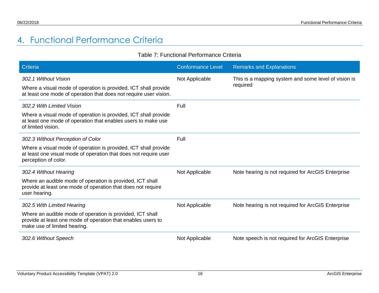# 4. Functional Performance Criteria

#### Table 7: Functional Performance Criteria

<span id="page-18-0"></span>

| Criteria                                                                                                                                                     | <b>Conformance Level</b> | <b>Remarks and Explanations</b>                                  |
|--------------------------------------------------------------------------------------------------------------------------------------------------------------|--------------------------|------------------------------------------------------------------|
| 302.1 Without Vision<br>Where a visual mode of operation is provided, ICT shall provide<br>at least one mode of operation that does not require user vision. | Not Applicable           | This is a mapping system and some level of vision is<br>required |
| 302.2 With Limited Vision                                                                                                                                    | Full                     |                                                                  |
| Where a visual mode of operation is provided, ICT shall provide<br>at least one mode of operation that enables users to make use<br>of limited vision.       |                          |                                                                  |
| 302.3 Without Perception of Color                                                                                                                            | Full                     |                                                                  |
| Where a visual mode of operation is provided, ICT shall provide<br>at least one visual mode of operation that does not require user<br>perception of color.  |                          |                                                                  |
| 302.4 Without Hearing                                                                                                                                        | Not Applicable           | Note hearing is not required for ArcGIS Enterprise               |
| Where an audible mode of operation is provided, ICT shall<br>provide at least one mode of operation that does not require<br>user hearing.                   |                          |                                                                  |
| 302.5 With Limited Hearing                                                                                                                                   | Not Applicable           | Note hearing is not required for ArcGIS Enterprise               |
| Where an audible mode of operation is provided, ICT shall<br>provide at least one mode of operation that enables users to<br>make use of limited hearing.    |                          |                                                                  |
| 302.6 Without Speech                                                                                                                                         | Not Applicable           | Note speech is not required for ArcGIS Enterprise                |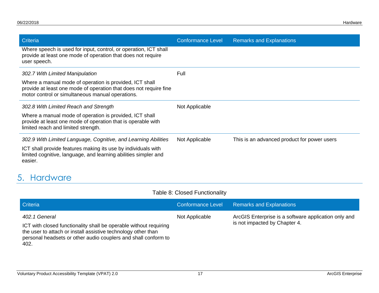| Criteria                                                                                                                                                                         | <b>Conformance Level</b> | <b>Remarks and Explanations</b>             |
|----------------------------------------------------------------------------------------------------------------------------------------------------------------------------------|--------------------------|---------------------------------------------|
| Where speech is used for input, control, or operation, ICT shall<br>provide at least one mode of operation that does not require<br>user speech.                                 |                          |                                             |
| 302.7 With Limited Manipulation                                                                                                                                                  | Full                     |                                             |
| Where a manual mode of operation is provided, ICT shall<br>provide at least one mode of operation that does not require fine<br>motor control or simultaneous manual operations. |                          |                                             |
| 302.8 With Limited Reach and Strength                                                                                                                                            | Not Applicable           |                                             |
| Where a manual mode of operation is provided, ICT shall<br>provide at least one mode of operation that is operable with<br>limited reach and limited strength.                   |                          |                                             |
| 302.9 With Limited Language, Cognitive, and Learning Abilities                                                                                                                   | Not Applicable           | This is an advanced product for power users |
| ICT shall provide features making its use by individuals with<br>limited cognitive, language, and learning abilities simpler and<br>easier.                                      |                          |                                             |

# 5. Hardware

<span id="page-19-0"></span>402.

#### Table 8: Closed Functionality

| <b>Criteria</b>                                                                                                                                                                                                       | <b>Conformance Level</b> | <b>Remarks and Explanations</b>                                                       |
|-----------------------------------------------------------------------------------------------------------------------------------------------------------------------------------------------------------------------|--------------------------|---------------------------------------------------------------------------------------|
| 402.1 General<br>ICT with closed functionality shall be operable without requiring<br>the user to attach or install assistive technology other than<br>personal headsets or other audio couplers and shall conform to | Not Applicable           | ArcGIS Enterprise is a software application only and<br>is not impacted by Chapter 4. |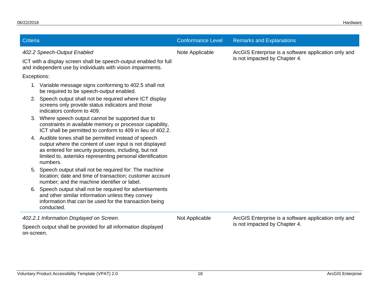| Criteria                                 |                                                                                                                                                                                                                                     | <b>Conformance Level</b> | <b>Remarks and Explanations</b>                      |
|------------------------------------------|-------------------------------------------------------------------------------------------------------------------------------------------------------------------------------------------------------------------------------------|--------------------------|------------------------------------------------------|
| 402.2 Speech-Output Enabled              |                                                                                                                                                                                                                                     | Note Applicable          | ArcGIS Enterprise is a software application only and |
|                                          | ICT with a display screen shall be speech-output enabled for full<br>and independent use by individuals with vision impairments.                                                                                                    |                          | is not impacted by Chapter 4.                        |
| Exceptions:                              |                                                                                                                                                                                                                                     |                          |                                                      |
|                                          | 1. Variable message signs conforming to 402.5 shall not<br>be required to be speech-output enabled.                                                                                                                                 |                          |                                                      |
| 2.<br>indicators conform to 409.         | Speech output shall not be required where ICT display<br>screens only provide status indicators and those                                                                                                                           |                          |                                                      |
| 3.                                       | Where speech output cannot be supported due to<br>constraints in available memory or processor capability,<br>ICT shall be permitted to conform to 409 in lieu of 402.2.                                                            |                          |                                                      |
| 4.<br>numbers.                           | Audible tones shall be permitted instead of speech<br>output where the content of user input is not displayed<br>as entered for security purposes, including, but not<br>limited to, asterisks representing personal identification |                          |                                                      |
| 5.                                       | Speech output shall not be required for: The machine<br>location; date and time of transaction; customer account<br>number; and the machine identifier or label.                                                                    |                          |                                                      |
| 6.<br>conducted.                         | Speech output shall not be required for advertisements<br>and other similar information unless they convey<br>information that can be used for the transaction being                                                                |                          |                                                      |
| 402.2.1 Information Displayed on Screen. |                                                                                                                                                                                                                                     | Not Applicable           | ArcGIS Enterprise is a software application only and |
| on-screen.                               | Speech output shall be provided for all information displayed                                                                                                                                                                       |                          | is not impacted by Chapter 4.                        |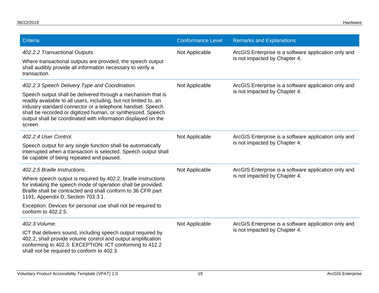| Criteria                                                                                                                                                                                                                                                                                                                                                                                     | <b>Conformance Level</b> | <b>Remarks and Explanations</b>                                                       |
|----------------------------------------------------------------------------------------------------------------------------------------------------------------------------------------------------------------------------------------------------------------------------------------------------------------------------------------------------------------------------------------------|--------------------------|---------------------------------------------------------------------------------------|
| 402.2.2 Transactional Outputs.<br>Where transactional outputs are provided, the speech output<br>shall audibly provide all information necessary to verify a<br>transaction.                                                                                                                                                                                                                 | Not Applicable           | ArcGIS Enterprise is a software application only and<br>is not impacted by Chapter 4. |
| 402.2.3 Speech Delivery Type and Coordination.<br>Speech output shall be delivered through a mechanism that is<br>readily available to all users, including, but not limited to, an<br>industry standard connector or a telephone handset. Speech<br>shall be recorded or digitized human, or synthesized. Speech<br>output shall be coordinated with information displayed on the<br>screen | Not Applicable           | ArcGIS Enterprise is a software application only and<br>is not impacted by Chapter 4. |
| 402.2.4 User Control.<br>Speech output for any single function shall be automatically<br>interrupted when a transaction is selected. Speech output shall<br>be capable of being repeated and paused.                                                                                                                                                                                         | Not Applicable           | ArcGIS Enterprise is a software application only and<br>is not impacted by Chapter 4. |
| 402.2.5 Braille Instructions.<br>Where speech output is required by 402.2, braille instructions<br>for initiating the speech mode of operation shall be provided.<br>Braille shall be contracted and shall conform to 36 CFR part<br>1191, Appendix D, Section 703.3.1.<br>Exception: Devices for personal use shall not be required to<br>conform to 402.2.5.                               | Not Applicable           | ArcGIS Enterprise is a software application only and<br>is not impacted by Chapter 4. |
| 402.3 Volume.<br>ICT that delivers sound, including speech output required by<br>402.2, shall provide volume control and output amplification<br>conforming to 402.3. EXCEPTION: ICT conforming to 412.2<br>shall not be required to conform to 402.3.                                                                                                                                       | Not Applicable           | ArcGIS Enterprise is a software application only and<br>is not impacted by Chapter 4. |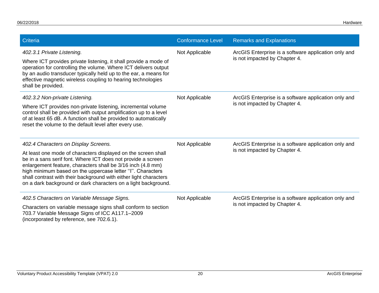| Criteria                                                                                                                                                                                                                                                                                                                                                                                          | <b>Conformance Level</b> | <b>Remarks and Explanations</b>                                                       |
|---------------------------------------------------------------------------------------------------------------------------------------------------------------------------------------------------------------------------------------------------------------------------------------------------------------------------------------------------------------------------------------------------|--------------------------|---------------------------------------------------------------------------------------|
| 402.3.1 Private Listening.<br>Where ICT provides private listening, it shall provide a mode of<br>operation for controlling the volume. Where ICT delivers output<br>by an audio transducer typically held up to the ear, a means for<br>effective magnetic wireless coupling to hearing technologies<br>shall be provided.                                                                       | Not Applicable           | ArcGIS Enterprise is a software application only and<br>is not impacted by Chapter 4. |
| 402.3.2 Non-private Listening.                                                                                                                                                                                                                                                                                                                                                                    | Not Applicable           | ArcGIS Enterprise is a software application only and                                  |
| Where ICT provides non-private listening, incremental volume<br>control shall be provided with output amplification up to a level<br>of at least 65 dB. A function shall be provided to automatically<br>reset the volume to the default level after every use.                                                                                                                                   |                          | is not impacted by Chapter 4.                                                         |
| 402.4 Characters on Display Screens.                                                                                                                                                                                                                                                                                                                                                              | Not Applicable           | ArcGIS Enterprise is a software application only and                                  |
| At least one mode of characters displayed on the screen shall<br>be in a sans serif font. Where ICT does not provide a screen<br>enlargement feature, characters shall be 3/16 inch (4.8 mm)<br>high minimum based on the uppercase letter "I". Characters<br>shall contrast with their background with either light characters<br>on a dark background or dark characters on a light background. |                          | is not impacted by Chapter 4.                                                         |
| 402.5 Characters on Variable Message Signs.                                                                                                                                                                                                                                                                                                                                                       | Not Applicable           | ArcGIS Enterprise is a software application only and<br>is not impacted by Chapter 4. |
| Characters on variable message signs shall conform to section<br>703.7 Variable Message Signs of ICC A117.1-2009<br>(incorporated by reference, see 702.6.1).                                                                                                                                                                                                                                     |                          |                                                                                       |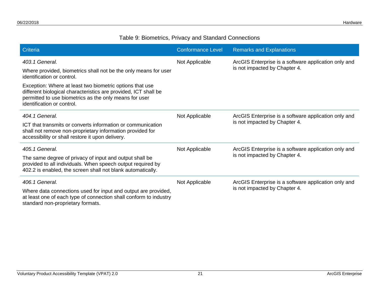#### Table 9: Biometrics, Privacy and Standard Connections

| <b>Criteria</b>                                                                                                                                                                                                     | <b>Conformance Level</b> | <b>Remarks and Explanations</b>                                                       |
|---------------------------------------------------------------------------------------------------------------------------------------------------------------------------------------------------------------------|--------------------------|---------------------------------------------------------------------------------------|
| 403.1 General.<br>Where provided, biometrics shall not be the only means for user<br>identification or control.                                                                                                     | Not Applicable           | ArcGIS Enterprise is a software application only and<br>is not impacted by Chapter 4. |
| Exception: Where at least two biometric options that use<br>different biological characteristics are provided, ICT shall be<br>permitted to use biometrics as the only means for user<br>identification or control. |                          |                                                                                       |
| 404.1 General.                                                                                                                                                                                                      | Not Applicable           | ArcGIS Enterprise is a software application only and<br>is not impacted by Chapter 4. |
| ICT that transmits or converts information or communication<br>shall not remove non-proprietary information provided for<br>accessibility or shall restore it upon delivery.                                        |                          |                                                                                       |
| 405.1 General.                                                                                                                                                                                                      | Not Applicable           | ArcGIS Enterprise is a software application only and                                  |
| The same degree of privacy of input and output shall be<br>provided to all individuals. When speech output required by<br>402.2 is enabled, the screen shall not blank automatically.                               |                          | is not impacted by Chapter 4.                                                         |
| 406.1 General.                                                                                                                                                                                                      | Not Applicable           | ArcGIS Enterprise is a software application only and                                  |
| Where data connections used for input and output are provided,<br>at least one of each type of connection shall conform to industry<br>standard non-proprietary formats.                                            |                          | is not impacted by Chapter 4.                                                         |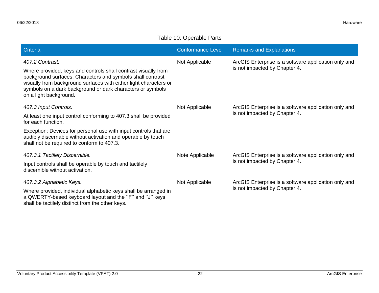#### Table 10: Operable Parts

| Criteria                                                                                                                                                                                                                                                                                                     | <b>Conformance Level</b> | <b>Remarks and Explanations</b>                                                       |
|--------------------------------------------------------------------------------------------------------------------------------------------------------------------------------------------------------------------------------------------------------------------------------------------------------------|--------------------------|---------------------------------------------------------------------------------------|
| 407.2 Contrast.<br>Where provided, keys and controls shall contrast visually from<br>background surfaces. Characters and symbols shall contrast<br>visually from background surfaces with either light characters or<br>symbols on a dark background or dark characters or symbols<br>on a light background. | Not Applicable           | ArcGIS Enterprise is a software application only and<br>is not impacted by Chapter 4. |
| 407.3 Input Controls.<br>At least one input control conforming to 407.3 shall be provided<br>for each function.<br>Exception: Devices for personal use with input controls that are<br>audibly discernable without activation and operable by touch<br>shall not be required to conform to 407.3.            | Not Applicable           | ArcGIS Enterprise is a software application only and<br>is not impacted by Chapter 4. |
| 407.3.1 Tactilely Discernible.<br>Input controls shall be operable by touch and tactilely<br>discernible without activation.                                                                                                                                                                                 | Note Applicable          | ArcGIS Enterprise is a software application only and<br>is not impacted by Chapter 4. |
| 407.3.2 Alphabetic Keys.<br>Where provided, individual alphabetic keys shall be arranged in<br>a QWERTY-based keyboard layout and the "F" and "J" keys<br>shall be tactilely distinct from the other keys.                                                                                                   | Not Applicable           | ArcGIS Enterprise is a software application only and<br>is not impacted by Chapter 4. |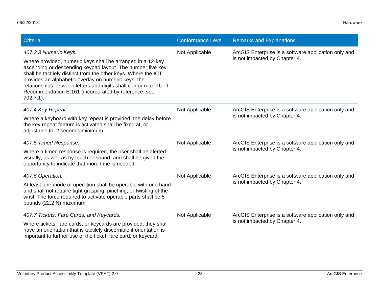| Criteria                                                                                                                                                                                                                                                                                                                                                                                                              | <b>Conformance Level</b> | <b>Remarks and Explanations</b>                                                       |
|-----------------------------------------------------------------------------------------------------------------------------------------------------------------------------------------------------------------------------------------------------------------------------------------------------------------------------------------------------------------------------------------------------------------------|--------------------------|---------------------------------------------------------------------------------------|
| 407.3.3 Numeric Keys.<br>Where provided, numeric keys shall be arranged in a 12-key<br>ascending or descending keypad layout. The number five key<br>shall be tactilely distinct from the other keys. Where the ICT<br>provides an alphabetic overlay on numeric keys, the<br>relationships between letters and digits shall conform to ITU-T<br>Recommendation E.161 (incorporated by reference, see<br>$702.7.1$ ). | Not Applicable           | ArcGIS Enterprise is a software application only and<br>is not impacted by Chapter 4. |
| 407.4 Key Repeat.<br>Where a keyboard with key repeat is provided, the delay before<br>the key repeat feature is activated shall be fixed at, or<br>adjustable to, 2 seconds minimum.                                                                                                                                                                                                                                 | Not Applicable           | ArcGIS Enterprise is a software application only and<br>is not impacted by Chapter 4. |
| 407.5 Timed Response.<br>Where a timed response is required, the user shall be alerted<br>visually, as well as by touch or sound, and shall be given the<br>opportunity to indicate that more time is needed.                                                                                                                                                                                                         | Not Applicable           | ArcGIS Enterprise is a software application only and<br>is not impacted by Chapter 4. |
| 407.6 Operation.<br>At least one mode of operation shall be operable with one hand<br>and shall not require tight grasping, pinching, or twisting of the<br>wrist. The force required to activate operable parts shall be 5<br>pounds (22.2 N) maximum.                                                                                                                                                               | Not Applicable           | ArcGIS Enterprise is a software application only and<br>is not impacted by Chapter 4. |
| 407.7 Tickets, Fare Cards, and Keycards.<br>Where tickets, fare cards, or keycards are provided, they shall<br>have an orientation that is tactilely discernible if orientation is<br>important to further use of the ticket, fare card, or keycard.                                                                                                                                                                  | Not Applicable           | ArcGIS Enterprise is a software application only and<br>is not impacted by Chapter 4. |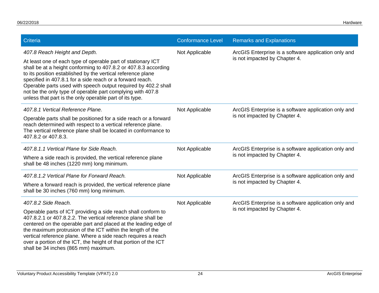| Criteria                                                                                                                                                                                                                                                                                                                                                                                                                                                                                | <b>Conformance Level</b> | <b>Remarks and Explanations</b>                                                       |
|-----------------------------------------------------------------------------------------------------------------------------------------------------------------------------------------------------------------------------------------------------------------------------------------------------------------------------------------------------------------------------------------------------------------------------------------------------------------------------------------|--------------------------|---------------------------------------------------------------------------------------|
| 407.8 Reach Height and Depth.<br>At least one of each type of operable part of stationary ICT<br>shall be at a height conforming to 407.8.2 or 407.8.3 according<br>to its position established by the vertical reference plane<br>specified in 407.8.1 for a side reach or a forward reach.<br>Operable parts used with speech output required by 402.2 shall<br>not be the only type of operable part complying with 407.8<br>unless that part is the only operable part of its type. | Not Applicable           | ArcGIS Enterprise is a software application only and<br>is not impacted by Chapter 4. |
| 407.8.1 Vertical Reference Plane.<br>Operable parts shall be positioned for a side reach or a forward<br>reach determined with respect to a vertical reference plane.<br>The vertical reference plane shall be located in conformance to<br>407.8.2 or 407.8.3.                                                                                                                                                                                                                         | Not Applicable           | ArcGIS Enterprise is a software application only and<br>is not impacted by Chapter 4. |
| 407.8.1.1 Vertical Plane for Side Reach.<br>Where a side reach is provided, the vertical reference plane<br>shall be 48 inches (1220 mm) long minimum.                                                                                                                                                                                                                                                                                                                                  | Not Applicable           | ArcGIS Enterprise is a software application only and<br>is not impacted by Chapter 4. |
| 407.8.1.2 Vertical Plane for Forward Reach.<br>Where a forward reach is provided, the vertical reference plane<br>shall be 30 inches (760 mm) long minimum.                                                                                                                                                                                                                                                                                                                             | Not Applicable           | ArcGIS Enterprise is a software application only and<br>is not impacted by Chapter 4. |
| 407.8.2 Side Reach.<br>Operable parts of ICT providing a side reach shall conform to<br>407.8.2.1 or 407.8.2.2. The vertical reference plane shall be<br>centered on the operable part and placed at the leading edge of<br>the maximum protrusion of the ICT within the length of the<br>vertical reference plane. Where a side reach requires a reach<br>over a portion of the ICT, the height of that portion of the ICT<br>shall be 34 inches (865 mm) maximum.                     | Not Applicable           | ArcGIS Enterprise is a software application only and<br>is not impacted by Chapter 4. |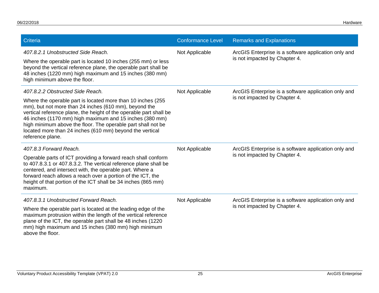| Criteria                                                                                                                                                                                                                                                                                                                                                                                               | <b>Conformance Level</b> | <b>Remarks and Explanations</b>                                                       |
|--------------------------------------------------------------------------------------------------------------------------------------------------------------------------------------------------------------------------------------------------------------------------------------------------------------------------------------------------------------------------------------------------------|--------------------------|---------------------------------------------------------------------------------------|
| 407.8.2.1 Unobstructed Side Reach.                                                                                                                                                                                                                                                                                                                                                                     | Not Applicable           | ArcGIS Enterprise is a software application only and<br>is not impacted by Chapter 4. |
| Where the operable part is located 10 inches (255 mm) or less<br>beyond the vertical reference plane, the operable part shall be<br>48 inches (1220 mm) high maximum and 15 inches (380 mm)<br>high minimum above the floor.                                                                                                                                                                           |                          |                                                                                       |
| 407.8.2.2 Obstructed Side Reach.                                                                                                                                                                                                                                                                                                                                                                       | Not Applicable           | ArcGIS Enterprise is a software application only and                                  |
| Where the operable part is located more than 10 inches (255)<br>mm), but not more than 24 inches (610 mm), beyond the<br>vertical reference plane, the height of the operable part shall be<br>46 inches (1170 mm) high maximum and 15 inches (380 mm)<br>high minimum above the floor. The operable part shall not be<br>located more than 24 inches (610 mm) beyond the vertical<br>reference plane. |                          | is not impacted by Chapter 4.                                                         |
| 407.8.3 Forward Reach.                                                                                                                                                                                                                                                                                                                                                                                 | Not Applicable           | ArcGIS Enterprise is a software application only and                                  |
| Operable parts of ICT providing a forward reach shall conform<br>to 407.8.3.1 or 407.8.3.2. The vertical reference plane shall be<br>centered, and intersect with, the operable part. Where a<br>forward reach allows a reach over a portion of the ICT, the<br>height of that portion of the ICT shall be 34 inches (865 mm)<br>maximum.                                                              |                          | is not impacted by Chapter 4.                                                         |
| 407.8.3.1 Unobstructed Forward Reach.                                                                                                                                                                                                                                                                                                                                                                  | Not Applicable           | ArcGIS Enterprise is a software application only and<br>is not impacted by Chapter 4. |
| Where the operable part is located at the leading edge of the<br>maximum protrusion within the length of the vertical reference<br>plane of the ICT, the operable part shall be 48 inches (1220<br>mm) high maximum and 15 inches (380 mm) high minimum<br>above the floor.                                                                                                                            |                          |                                                                                       |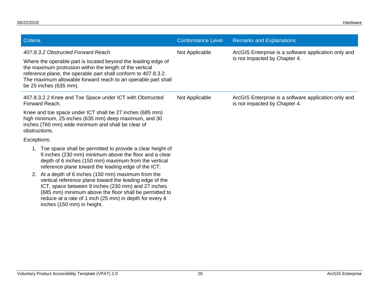| Criteria                                                                                                                                                                                                                                                                                                                                                                                                                                                                                                                                                        | <b>Conformance Level</b> | <b>Remarks and Explanations</b>                                                       |
|-----------------------------------------------------------------------------------------------------------------------------------------------------------------------------------------------------------------------------------------------------------------------------------------------------------------------------------------------------------------------------------------------------------------------------------------------------------------------------------------------------------------------------------------------------------------|--------------------------|---------------------------------------------------------------------------------------|
| 407.8.3.2 Obstructed Forward Reach.<br>Where the operable part is located beyond the leading edge of<br>the maximum protrusion within the length of the vertical<br>reference plane, the operable part shall conform to 407.8.3.2.<br>The maximum allowable forward reach to an operable part shall<br>be 25 inches (635 mm).                                                                                                                                                                                                                                   | Not Applicable           | ArcGIS Enterprise is a software application only and<br>is not impacted by Chapter 4. |
| 407.8.3.2.2 Knee and Toe Space under ICT with Obstructed<br>Forward Reach.                                                                                                                                                                                                                                                                                                                                                                                                                                                                                      | Not Applicable           | ArcGIS Enterprise is a software application only and<br>is not impacted by Chapter 4. |
| Knee and toe space under ICT shall be 27 inches (685 mm)<br>high minimum, 25 inches (635 mm) deep maximum, and 30<br>inches (760 mm) wide minimum and shall be clear of<br>obstructions.                                                                                                                                                                                                                                                                                                                                                                        |                          |                                                                                       |
| Exceptions:                                                                                                                                                                                                                                                                                                                                                                                                                                                                                                                                                     |                          |                                                                                       |
| 1. Toe space shall be permitted to provide a clear height of<br>9 inches (230 mm) minimum above the floor and a clear<br>depth of 6 inches (150 mm) maximum from the vertical<br>reference plane toward the leading edge of the ICT.<br>2. At a depth of 6 inches (150 mm) maximum from the<br>vertical reference plane toward the leading edge of the<br>ICT, space between 9 inches (230 mm) and 27 inches<br>(685 mm) minimum above the floor shall be permitted to<br>reduce at a rate of 1 inch (25 mm) in depth for every 6<br>inches (150 mm) in height. |                          |                                                                                       |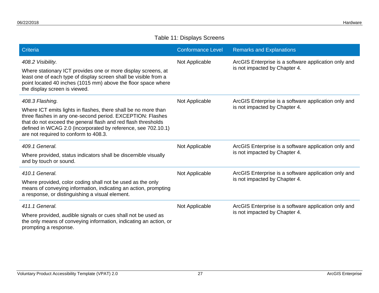#### Table 11: Displays Screens

| <b>Criteria</b>                                                                                                                                                                                                                                                                                                            | <b>Conformance Level</b> | <b>Remarks and Explanations</b>                                                       |
|----------------------------------------------------------------------------------------------------------------------------------------------------------------------------------------------------------------------------------------------------------------------------------------------------------------------------|--------------------------|---------------------------------------------------------------------------------------|
| 408.2 Visibility.<br>Where stationary ICT provides one or more display screens, at<br>least one of each type of display screen shall be visible from a<br>point located 40 inches (1015 mm) above the floor space where<br>the display screen is viewed.                                                                   | Not Applicable           | ArcGIS Enterprise is a software application only and<br>is not impacted by Chapter 4. |
| 408.3 Flashing.<br>Where ICT emits lights in flashes, there shall be no more than<br>three flashes in any one-second period. EXCEPTION: Flashes<br>that do not exceed the general flash and red flash thresholds<br>defined in WCAG 2.0 (incorporated by reference, see 702.10.1)<br>are not required to conform to 408.3. | Not Applicable           | ArcGIS Enterprise is a software application only and<br>is not impacted by Chapter 4. |
| 409.1 General.<br>Where provided, status indicators shall be discernible visually<br>and by touch or sound.                                                                                                                                                                                                                | Not Applicable           | ArcGIS Enterprise is a software application only and<br>is not impacted by Chapter 4. |
| 410.1 General.<br>Where provided, color coding shall not be used as the only<br>means of conveying information, indicating an action, prompting<br>a response, or distinguishing a visual element.                                                                                                                         | Not Applicable           | ArcGIS Enterprise is a software application only and<br>is not impacted by Chapter 4. |
| 411.1 General.<br>Where provided, audible signals or cues shall not be used as<br>the only means of conveying information, indicating an action, or<br>prompting a response.                                                                                                                                               | Not Applicable           | ArcGIS Enterprise is a software application only and<br>is not impacted by Chapter 4. |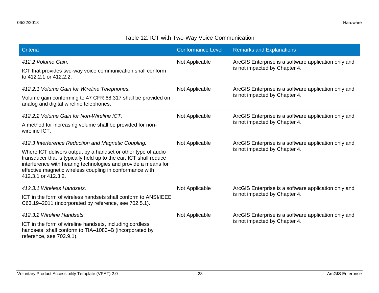#### Table 12: ICT with Two-Way Voice Communication

| <b>Criteria</b>                                                                                                                                                                                                                                                                                                                                | <b>Conformance Level</b> | <b>Remarks and Explanations</b>                                                       |
|------------------------------------------------------------------------------------------------------------------------------------------------------------------------------------------------------------------------------------------------------------------------------------------------------------------------------------------------|--------------------------|---------------------------------------------------------------------------------------|
| 412.2 Volume Gain.<br>ICT that provides two-way voice communication shall conform<br>to 412.2.1 or 412.2.2.                                                                                                                                                                                                                                    | Not Applicable           | ArcGIS Enterprise is a software application only and<br>is not impacted by Chapter 4. |
| 412.2.1 Volume Gain for Wireline Telephones.<br>Volume gain conforming to 47 CFR 68.317 shall be provided on<br>analog and digital wireline telephones.                                                                                                                                                                                        | Not Applicable           | ArcGIS Enterprise is a software application only and<br>is not impacted by Chapter 4. |
| 412.2.2 Volume Gain for Non-Wireline ICT.<br>A method for increasing volume shall be provided for non-<br>wireline ICT.                                                                                                                                                                                                                        | Not Applicable           | ArcGIS Enterprise is a software application only and<br>is not impacted by Chapter 4. |
| 412.3 Interference Reduction and Magnetic Coupling.<br>Where ICT delivers output by a handset or other type of audio<br>transducer that is typically held up to the ear, ICT shall reduce<br>interference with hearing technologies and provide a means for<br>effective magnetic wireless coupling in conformance with<br>412.3.1 or 412.3.2. | Not Applicable           | ArcGIS Enterprise is a software application only and<br>is not impacted by Chapter 4. |
| 412.3.1 Wireless Handsets.<br>ICT in the form of wireless handsets shall conform to ANSI/IEEE<br>C63.19-2011 (incorporated by reference, see 702.5.1).                                                                                                                                                                                         | Not Applicable           | ArcGIS Enterprise is a software application only and<br>is not impacted by Chapter 4. |
| 412.3.2 Wireline Handsets.<br>ICT in the form of wireline handsets, including cordless<br>handsets, shall conform to TIA-1083-B (incorporated by<br>reference, see 702.9.1).                                                                                                                                                                   | Not Applicable           | ArcGIS Enterprise is a software application only and<br>is not impacted by Chapter 4. |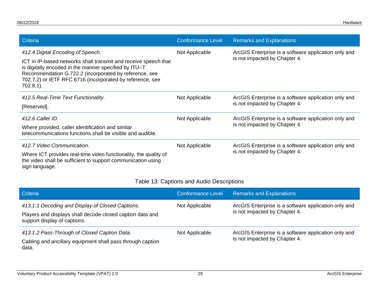| Criteria                                                                                                                                                                                                                                                        | <b>Conformance Level</b> | <b>Remarks and Explanations</b>                                                       |
|-----------------------------------------------------------------------------------------------------------------------------------------------------------------------------------------------------------------------------------------------------------------|--------------------------|---------------------------------------------------------------------------------------|
| 412.4 Digital Encoding of Speech.                                                                                                                                                                                                                               | Not Applicable           | ArcGIS Enterprise is a software application only and                                  |
| ICT in IP-based networks shall transmit and receive speech that<br>is digitally encoded in the manner specified by ITU-T<br>Recommendation G.722.2 (incorporated by reference, see<br>702.7.2) or IETF RFC 6716 (incorporated by reference, see<br>$702.8.1$ ). |                          | is not impacted by Chapter 4.                                                         |
| 412.5 Real-Time Text Functionality.                                                                                                                                                                                                                             | Not Applicable           | ArcGIS Enterprise is a software application only and<br>is not impacted by Chapter 4. |
| [Reserved].                                                                                                                                                                                                                                                     |                          |                                                                                       |
| 412.6 Caller ID.                                                                                                                                                                                                                                                | Not Applicable           | ArcGIS Enterprise is a software application only and<br>is not impacted by Chapter 4. |
| Where provided, caller identification and similar<br>telecommunications functions shall be visible and audible.                                                                                                                                                 |                          |                                                                                       |
| 412.7 Video Communication.                                                                                                                                                                                                                                      | Not Applicable           | ArcGIS Enterprise is a software application only and                                  |
| Where ICT provides real-time video functionality, the quality of<br>the video shall be sufficient to support communication using<br>sign language.                                                                                                              |                          | is not impacted by Chapter 4.                                                         |

#### Table 13: Captions and Audio Descriptions

| Criteria                                                                                  | <b>Conformance Level</b> | <b>Remarks and Explanations</b>                                                       |
|-------------------------------------------------------------------------------------------|--------------------------|---------------------------------------------------------------------------------------|
| 413.1.1 Decoding and Display of Closed Captions.                                          | Not Applicable           | ArcGIS Enterprise is a software application only and<br>is not impacted by Chapter 4. |
| Players and displays shall decode closed caption data and<br>support display of captions. |                          |                                                                                       |
| 413.1.2 Pass-Through of Closed Caption Data.                                              | Not Applicable           | ArcGIS Enterprise is a software application only and                                  |
| Cabling and ancillary equipment shall pass through caption<br>data.                       |                          | is not impacted by Chapter 4.                                                         |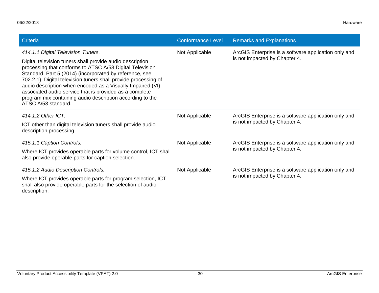| Criteria                                                                                                                                                                                                                                                                                                                                                                                                                                                                                               | <b>Conformance Level</b> | <b>Remarks and Explanations</b>                                                       |
|--------------------------------------------------------------------------------------------------------------------------------------------------------------------------------------------------------------------------------------------------------------------------------------------------------------------------------------------------------------------------------------------------------------------------------------------------------------------------------------------------------|--------------------------|---------------------------------------------------------------------------------------|
| 414.1.1 Digital Television Tuners.<br>Digital television tuners shall provide audio description<br>processing that conforms to ATSC A/53 Digital Television<br>Standard, Part 5 (2014) (incorporated by reference, see<br>702.2.1). Digital television tuners shall provide processing of<br>audio description when encoded as a Visually Impaired (VI)<br>associated audio service that is provided as a complete<br>program mix containing audio description according to the<br>ATSC A/53 standard. | Not Applicable           | ArcGIS Enterprise is a software application only and<br>is not impacted by Chapter 4. |
| 414.1.2 Other ICT.<br>ICT other than digital television tuners shall provide audio<br>description processing.                                                                                                                                                                                                                                                                                                                                                                                          | Not Applicable           | ArcGIS Enterprise is a software application only and<br>is not impacted by Chapter 4. |
| 415.1.1 Caption Controls.<br>Where ICT provides operable parts for volume control, ICT shall<br>also provide operable parts for caption selection.                                                                                                                                                                                                                                                                                                                                                     | Not Applicable           | ArcGIS Enterprise is a software application only and<br>is not impacted by Chapter 4. |
| 415.1.2 Audio Description Controls.<br>Where ICT provides operable parts for program selection, ICT<br>shall also provide operable parts for the selection of audio<br>description.                                                                                                                                                                                                                                                                                                                    | Not Applicable           | ArcGIS Enterprise is a software application only and<br>is not impacted by Chapter 4. |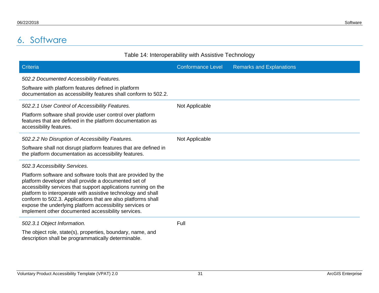# 6. Software

<span id="page-33-0"></span>

| Table 14: Interoperability with Assistive Technology                                                                                                                                                                                                                                                                                                                                                                                       |                          |                                 |  |
|--------------------------------------------------------------------------------------------------------------------------------------------------------------------------------------------------------------------------------------------------------------------------------------------------------------------------------------------------------------------------------------------------------------------------------------------|--------------------------|---------------------------------|--|
| Criteria                                                                                                                                                                                                                                                                                                                                                                                                                                   | <b>Conformance Level</b> | <b>Remarks and Explanations</b> |  |
| 502.2 Documented Accessibility Features.                                                                                                                                                                                                                                                                                                                                                                                                   |                          |                                 |  |
| Software with platform features defined in platform<br>documentation as accessibility features shall conform to 502.2.                                                                                                                                                                                                                                                                                                                     |                          |                                 |  |
| 502.2.1 User Control of Accessibility Features.                                                                                                                                                                                                                                                                                                                                                                                            | Not Applicable           |                                 |  |
| Platform software shall provide user control over platform<br>features that are defined in the platform documentation as<br>accessibility features.                                                                                                                                                                                                                                                                                        |                          |                                 |  |
| 502.2.2 No Disruption of Accessibility Features.                                                                                                                                                                                                                                                                                                                                                                                           | Not Applicable           |                                 |  |
| Software shall not disrupt platform features that are defined in<br>the platform documentation as accessibility features.                                                                                                                                                                                                                                                                                                                  |                          |                                 |  |
| 502.3 Accessibility Services.                                                                                                                                                                                                                                                                                                                                                                                                              |                          |                                 |  |
| Platform software and software tools that are provided by the<br>platform developer shall provide a documented set of<br>accessibility services that support applications running on the<br>platform to interoperate with assistive technology and shall<br>conform to 502.3. Applications that are also platforms shall<br>expose the underlying platform accessibility services or<br>implement other documented accessibility services. |                          |                                 |  |
| 502.3.1 Object Information.                                                                                                                                                                                                                                                                                                                                                                                                                | Full                     |                                 |  |
| The object role, state(s), properties, boundary, name, and<br>description shall be programmatically determinable.                                                                                                                                                                                                                                                                                                                          |                          |                                 |  |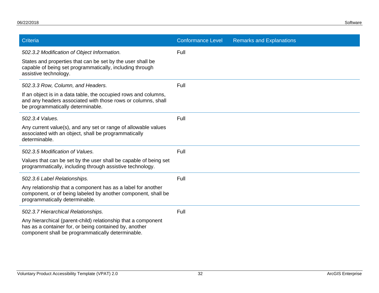| Criteria                                                                                                                                                                     | <b>Conformance Level</b> | <b>Remarks and Explanations</b> |
|------------------------------------------------------------------------------------------------------------------------------------------------------------------------------|--------------------------|---------------------------------|
| 502.3.2 Modification of Object Information.                                                                                                                                  | Full                     |                                 |
| States and properties that can be set by the user shall be<br>capable of being set programmatically, including through<br>assistive technology.                              |                          |                                 |
| 502.3.3 Row, Column, and Headers.                                                                                                                                            | Full                     |                                 |
| If an object is in a data table, the occupied rows and columns,<br>and any headers associated with those rows or columns, shall<br>be programmatically determinable.         |                          |                                 |
| 502.3.4 Values.                                                                                                                                                              | Full                     |                                 |
| Any current value(s), and any set or range of allowable values<br>associated with an object, shall be programmatically<br>determinable.                                      |                          |                                 |
| 502.3.5 Modification of Values.                                                                                                                                              | Full                     |                                 |
| Values that can be set by the user shall be capable of being set<br>programmatically, including through assistive technology.                                                |                          |                                 |
| 502.3.6 Label Relationships.                                                                                                                                                 | Full                     |                                 |
| Any relationship that a component has as a label for another<br>component, or of being labeled by another component, shall be<br>programmatically determinable.              |                          |                                 |
| 502.3.7 Hierarchical Relationships.                                                                                                                                          | Full                     |                                 |
| Any hierarchical (parent-child) relationship that a component<br>has as a container for, or being contained by, another<br>component shall be programmatically determinable. |                          |                                 |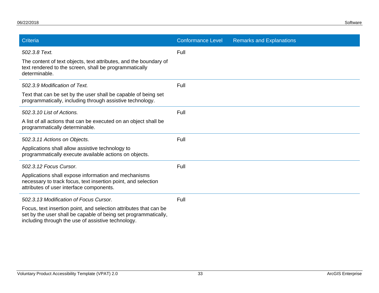| Criteria                                                                                                                                                                                   | <b>Conformance Level</b> | <b>Remarks and Explanations</b> |
|--------------------------------------------------------------------------------------------------------------------------------------------------------------------------------------------|--------------------------|---------------------------------|
| 502.3.8 Text.                                                                                                                                                                              | Full                     |                                 |
| The content of text objects, text attributes, and the boundary of<br>text rendered to the screen, shall be programmatically<br>determinable.                                               |                          |                                 |
| 502.3.9 Modification of Text.                                                                                                                                                              | Full                     |                                 |
| Text that can be set by the user shall be capable of being set<br>programmatically, including through assistive technology.                                                                |                          |                                 |
| 502.3.10 List of Actions.                                                                                                                                                                  | Full                     |                                 |
| A list of all actions that can be executed on an object shall be<br>programmatically determinable.                                                                                         |                          |                                 |
| 502.3.11 Actions on Objects.                                                                                                                                                               | Full                     |                                 |
| Applications shall allow assistive technology to<br>programmatically execute available actions on objects.                                                                                 |                          |                                 |
| 502.3.12 Focus Cursor.                                                                                                                                                                     | Full                     |                                 |
| Applications shall expose information and mechanisms<br>necessary to track focus, text insertion point, and selection<br>attributes of user interface components.                          |                          |                                 |
| 502.3.13 Modification of Focus Cursor.                                                                                                                                                     | Full                     |                                 |
| Focus, text insertion point, and selection attributes that can be<br>set by the user shall be capable of being set programmatically,<br>including through the use of assistive technology. |                          |                                 |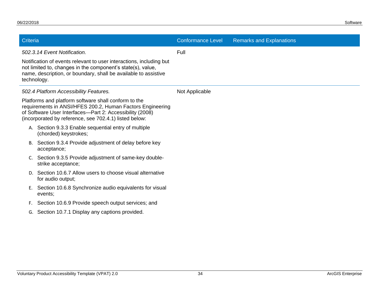| <b>Criteria</b> |                                                                                                                                                                                                                                          | <b>Conformance Level</b> | <b>Remarks and Explanations</b> |
|-----------------|------------------------------------------------------------------------------------------------------------------------------------------------------------------------------------------------------------------------------------------|--------------------------|---------------------------------|
|                 | 502.3.14 Event Notification.                                                                                                                                                                                                             | Full                     |                                 |
| technology.     | Notification of events relevant to user interactions, including but<br>not limited to, changes in the component's state(s), value,<br>name, description, or boundary, shall be available to assistive                                    |                          |                                 |
|                 | 502.4 Platform Accessibility Features.                                                                                                                                                                                                   | Not Applicable           |                                 |
|                 | Platforms and platform software shall conform to the<br>requirements in ANSI/HFES 200.2, Human Factors Engineering<br>of Software User Interfaces-Part 2: Accessibility (2008)<br>(incorporated by reference, see 702.4.1) listed below: |                          |                                 |
|                 | A. Section 9.3.3 Enable sequential entry of multiple<br>(chorded) keystrokes;                                                                                                                                                            |                          |                                 |
|                 | B. Section 9.3.4 Provide adjustment of delay before key<br>acceptance;                                                                                                                                                                   |                          |                                 |
| C.              | Section 9.3.5 Provide adjustment of same-key double-<br>strike acceptance;                                                                                                                                                               |                          |                                 |
|                 | D. Section 10.6.7 Allow users to choose visual alternative<br>for audio output;                                                                                                                                                          |                          |                                 |
| Ε.              | Section 10.6.8 Synchronize audio equivalents for visual<br>events;                                                                                                                                                                       |                          |                                 |
| F.              | Section 10.6.9 Provide speech output services; and                                                                                                                                                                                       |                          |                                 |
| G.              | Section 10.7.1 Display any captions provided.                                                                                                                                                                                            |                          |                                 |
|                 |                                                                                                                                                                                                                                          |                          |                                 |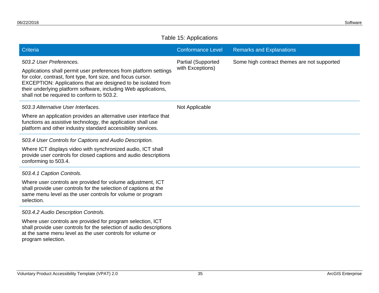#### Table 15: Applications

| Criteria                                                                                                                                                                                                                                                                                                                                       | <b>Conformance Level</b>                      | <b>Remarks and Explanations</b>             |
|------------------------------------------------------------------------------------------------------------------------------------------------------------------------------------------------------------------------------------------------------------------------------------------------------------------------------------------------|-----------------------------------------------|---------------------------------------------|
| 503.2 User Preferences.<br>Applications shall permit user preferences from platform settings<br>for color, contrast, font type, font size, and focus cursor.<br>EXCEPTION: Applications that are designed to be isolated from<br>their underlying platform software, including Web applications,<br>shall not be required to conform to 503.2. | <b>Partial (Supported</b><br>with Exceptions) | Some high contract themes are not supported |
| 503.3 Alternative User Interfaces.                                                                                                                                                                                                                                                                                                             | Not Applicable                                |                                             |
| Where an application provides an alternative user interface that<br>functions as assistive technology, the application shall use<br>platform and other industry standard accessibility services.                                                                                                                                               |                                               |                                             |
| 503.4 User Controls for Captions and Audio Description.                                                                                                                                                                                                                                                                                        |                                               |                                             |
| Where ICT displays video with synchronized audio, ICT shall<br>provide user controls for closed captions and audio descriptions<br>conforming to 503.4.                                                                                                                                                                                        |                                               |                                             |
| 503.4.1 Caption Controls.                                                                                                                                                                                                                                                                                                                      |                                               |                                             |
| Where user controls are provided for volume adjustment, ICT<br>shall provide user controls for the selection of captions at the<br>same menu level as the user controls for volume or program<br>selection.                                                                                                                                    |                                               |                                             |
| 503.4.2 Audio Description Controls.                                                                                                                                                                                                                                                                                                            |                                               |                                             |
| Where user controls are provided for program selection, ICT<br>المتفاوض والمستلوبات والمستنف والمستميلة والمستور والمستحدث والمستحدث والمستحدث                                                                                                                                                                                                 |                                               |                                             |

shall provide user controls for the selection of audio descriptions at the same menu level as the user controls for volume or program selection.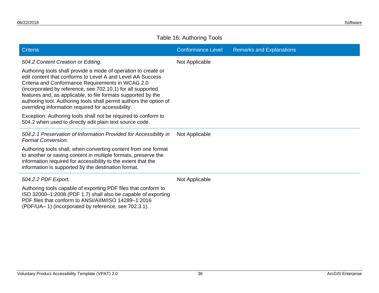#### Table 16: Authoring Tools

| Criteria                                                                                                                                                                                                                                                                                                                                                                                                                                      | <b>Conformance Level</b> | <b>Remarks and Explanations</b> |
|-----------------------------------------------------------------------------------------------------------------------------------------------------------------------------------------------------------------------------------------------------------------------------------------------------------------------------------------------------------------------------------------------------------------------------------------------|--------------------------|---------------------------------|
| 504.2 Content Creation or Editing.                                                                                                                                                                                                                                                                                                                                                                                                            | Not Applicable           |                                 |
| Authoring tools shall provide a mode of operation to create or<br>edit content that conforms to Level A and Level AA Success<br>Criteria and Conformance Requirements in WCAG 2.0<br>(incorporated by reference, see 702.10.1) for all supported<br>features and, as applicable, to file formats supported by the<br>authoring tool. Authoring tools shall permit authors the option of<br>overriding information required for accessibility. |                          |                                 |
| Exception: Authoring tools shall not be required to conform to<br>504.2 when used to directly edit plain text source code.                                                                                                                                                                                                                                                                                                                    |                          |                                 |
| 504.2.1 Preservation of Information Provided for Accessibility in<br><b>Format Conversion.</b>                                                                                                                                                                                                                                                                                                                                                | Not Applicable           |                                 |
| Authoring tools shall, when converting content from one format<br>to another or saving content in multiple formats, preserve the<br>information required for accessibility to the extent that the<br>information is supported by the destination format.                                                                                                                                                                                      |                          |                                 |
| 504.2.2 PDF Export.                                                                                                                                                                                                                                                                                                                                                                                                                           | Not Applicable           |                                 |
| Authoring tools capable of exporting PDF files that conform to<br>ISO 32000-1:2008 (PDF 1.7) shall also be capable of exporting<br>PDF files that conform to ANSI/AIIM/ISO 14289-1:2016<br>(PDF/UA–1) (incorporated by reference, see 702.3.1).                                                                                                                                                                                               |                          |                                 |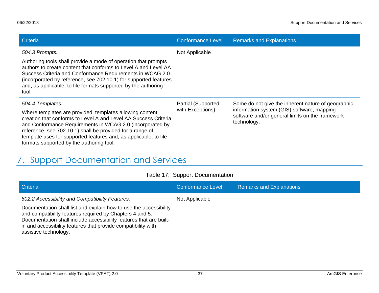| Criteria                                                                                                                                                                                                                                                                                                                                      | <b>Conformance Level</b>               | <b>Remarks and Explanations</b>                                                                                                                     |
|-----------------------------------------------------------------------------------------------------------------------------------------------------------------------------------------------------------------------------------------------------------------------------------------------------------------------------------------------|----------------------------------------|-----------------------------------------------------------------------------------------------------------------------------------------------------|
| 504.3 Prompts.                                                                                                                                                                                                                                                                                                                                | Not Applicable                         |                                                                                                                                                     |
| Authoring tools shall provide a mode of operation that prompts<br>authors to create content that conforms to Level A and Level AA<br>Success Criteria and Conformance Requirements in WCAG 2.0<br>(incorporated by reference, see 702.10.1) for supported features<br>and, as applicable, to file formats supported by the authoring<br>tool. |                                        |                                                                                                                                                     |
| 504.4 Templates.<br>Where templates are provided, templates allowing content<br>creation that conforms to Level A and Level AA Success Criteria                                                                                                                                                                                               | Partial (Supported<br>with Exceptions) | Some do not give the inherent nature of geographic<br>information system (GIS) software, mapping<br>software and/or general limits on the framework |
| and Conformance Requirements in WCAG 2.0 (incorporated by<br>reference, see 702.10.1) shall be provided for a range of<br>template uses for supported features and, as applicable, to file<br>formats supported by the authoring tool.                                                                                                        |                                        | technology.                                                                                                                                         |

# 7. Support Documentation and Services

|  | Table 17: Support Documentation |
|--|---------------------------------|
|--|---------------------------------|

<span id="page-39-0"></span>

| Criteria                                                                                                                                                                                                                                                                                      | Conformance Level | <b>Remarks and Explanations</b> |
|-----------------------------------------------------------------------------------------------------------------------------------------------------------------------------------------------------------------------------------------------------------------------------------------------|-------------------|---------------------------------|
| 602.2 Accessibility and Compatibility Features.                                                                                                                                                                                                                                               | Not Applicable    |                                 |
| Documentation shall list and explain how to use the accessibility<br>and compatibility features required by Chapters 4 and 5.<br>Documentation shall include accessibility features that are built-<br>in and accessibility features that provide compatibility with<br>assistive technology. |                   |                                 |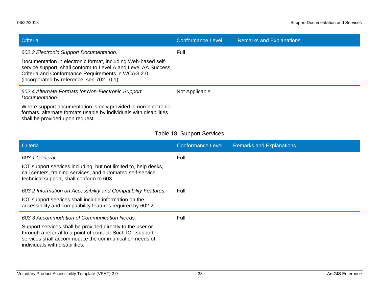| Criteria                                                                                                                                                                                                                                                                      | <b>Conformance Level</b> | <b>Remarks and Explanations</b> |
|-------------------------------------------------------------------------------------------------------------------------------------------------------------------------------------------------------------------------------------------------------------------------------|--------------------------|---------------------------------|
| 602.3 Electronic Support Documentation.<br>Documentation in electronic format, including Web-based self-<br>service support, shall conform to Level A and Level AA Success<br>Criteria and Conformance Requirements in WCAG 2.0<br>(incorporated by reference, see 702.10.1). | Full                     |                                 |
| 602.4 Alternate Formats for Non-Electronic Support<br>Documentation.                                                                                                                                                                                                          | Not Applicable           |                                 |
| Where support documentation is only provided in non-electronic<br>formats, alternate formats usable by individuals with disabilities<br>shall be provided upon request.                                                                                                       |                          |                                 |

#### Table 18: Support Services

| Criteria                                                                                                                                                                                                            | <b>Conformance Level</b> | <b>Remarks and Explanations</b> |
|---------------------------------------------------------------------------------------------------------------------------------------------------------------------------------------------------------------------|--------------------------|---------------------------------|
| 603.1 General.                                                                                                                                                                                                      | Full                     |                                 |
| ICT support services including, but not limited to, help desks,<br>call centers, training services, and automated self-service<br>technical support, shall conform to 603.                                          |                          |                                 |
| 603.2 Information on Accessibility and Compatibility Features.                                                                                                                                                      | Full                     |                                 |
| ICT support services shall include information on the<br>accessibility and compatibility features required by 602.2.                                                                                                |                          |                                 |
| 603.3 Accommodation of Communication Needs.                                                                                                                                                                         | Full                     |                                 |
| Support services shall be provided directly to the user or<br>through a referral to a point of contact. Such ICT support<br>services shall accommodate the communication needs of<br>individuals with disabilities. |                          |                                 |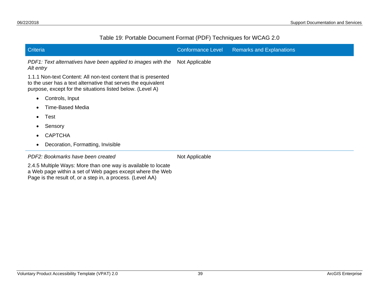#### Table 19: Portable Document Format (PDF) Techniques for WCAG 2.0

| Criteria                                                                                                                                                                                      | <b>Conformance Level</b> | <b>Remarks and Explanations</b> |
|-----------------------------------------------------------------------------------------------------------------------------------------------------------------------------------------------|--------------------------|---------------------------------|
| PDF1: Text alternatives have been applied to images with the<br>Alt entry                                                                                                                     | Not Applicable           |                                 |
| 1.1.1 Non-text Content: All non-text content that is presented<br>to the user has a text alternative that serves the equivalent<br>purpose, except for the situations listed below. (Level A) |                          |                                 |
| Controls, Input<br>٠                                                                                                                                                                          |                          |                                 |
| <b>Time-Based Media</b>                                                                                                                                                                       |                          |                                 |
| Test<br>$\bullet$                                                                                                                                                                             |                          |                                 |
| Sensory                                                                                                                                                                                       |                          |                                 |
| <b>CAPTCHA</b>                                                                                                                                                                                |                          |                                 |
| Decoration, Formatting, Invisible<br>$\bullet$                                                                                                                                                |                          |                                 |
| PDF2: Bookmarks have been created                                                                                                                                                             | Not Applicable           |                                 |
| 2.4.5 Multiple Ways: More than one way is available to locate<br>a Web page within a set of Web pages except where the Web<br>Page is the result of, or a step in, a process. (Level AA)      |                          |                                 |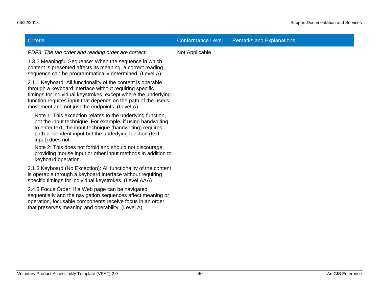| <b>Criteria</b>                                                                                                                                                                                                                                                                                               | <b>Conformance Level</b> | <b>Remarks and Explanations</b> |
|---------------------------------------------------------------------------------------------------------------------------------------------------------------------------------------------------------------------------------------------------------------------------------------------------------------|--------------------------|---------------------------------|
| PDF3: The tab order and reading order are correct                                                                                                                                                                                                                                                             | Not Applicable           |                                 |
| 1.3.2 Meaningful Sequence: When the sequence in which<br>content is presented affects its meaning, a correct reading<br>sequence can be programmatically determined. (Level A)                                                                                                                                |                          |                                 |
| 2.1.1 Keyboard: All functionality of the content is operable<br>through a keyboard interface without requiring specific<br>timings for individual keystrokes, except where the underlying<br>function requires input that depends on the path of the user's<br>movement and not just the endpoints. (Level A) |                          |                                 |
| Note 1: This exception relates to the underlying function,<br>not the input technique. For example, if using handwriting<br>to enter text, the input technique (handwriting) requires<br>path-dependent input but the underlying function (text<br>input) does not.                                           |                          |                                 |
| Note 2: This does not forbid and should not discourage<br>providing mouse input or other input methods in addition to<br>keyboard operation.                                                                                                                                                                  |                          |                                 |
| 2.1.3 Keyboard (No Exception): All functionality of the content<br>is operable through a keyboard interface without requiring<br>specific timings for individual keystrokes. (Level AAA)                                                                                                                      |                          |                                 |
| 2.4.3 Focus Order: If a Web page can be navigated<br>sequentially and the navigation sequences affect meaning or<br>operation, focusable components receive focus in an order<br>that preserves meaning and operability. (Level A)                                                                            |                          |                                 |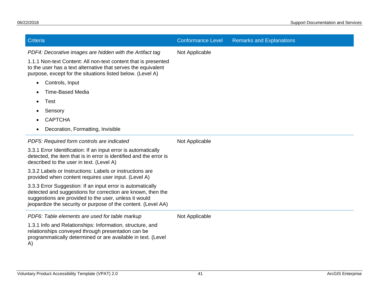| Criteria                                                                                                                                                                                                                                            | <b>Conformance Level</b> | <b>Remarks and Explanations</b> |
|-----------------------------------------------------------------------------------------------------------------------------------------------------------------------------------------------------------------------------------------------------|--------------------------|---------------------------------|
| PDF4: Decorative images are hidden with the Artifact tag                                                                                                                                                                                            | Not Applicable           |                                 |
| 1.1.1 Non-text Content: All non-text content that is presented<br>to the user has a text alternative that serves the equivalent<br>purpose, except for the situations listed below. (Level A)                                                       |                          |                                 |
| Controls, Input<br>$\bullet$                                                                                                                                                                                                                        |                          |                                 |
| <b>Time-Based Media</b>                                                                                                                                                                                                                             |                          |                                 |
| Test                                                                                                                                                                                                                                                |                          |                                 |
| Sensory                                                                                                                                                                                                                                             |                          |                                 |
| <b>CAPTCHA</b>                                                                                                                                                                                                                                      |                          |                                 |
| Decoration, Formatting, Invisible<br>$\bullet$                                                                                                                                                                                                      |                          |                                 |
| PDF5: Required form controls are indicated                                                                                                                                                                                                          | Not Applicable           |                                 |
| 3.3.1 Error Identification: If an input error is automatically<br>detected, the item that is in error is identified and the error is<br>described to the user in text. (Level A)                                                                    |                          |                                 |
| 3.3.2 Labels or Instructions: Labels or instructions are<br>provided when content requires user input. (Level A)                                                                                                                                    |                          |                                 |
| 3.3.3 Error Suggestion: If an input error is automatically<br>detected and suggestions for correction are known, then the<br>suggestions are provided to the user, unless it would<br>jeopardize the security or purpose of the content. (Level AA) |                          |                                 |
| PDF6: Table elements are used for table markup                                                                                                                                                                                                      | Not Applicable           |                                 |
| 1.3.1 Info and Relationships: Information, structure, and<br>relationships conveyed through presentation can be<br>programmatically determined or are available in text. (Level<br>A)                                                               |                          |                                 |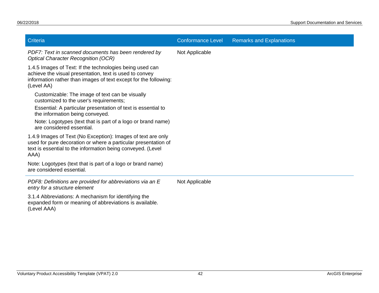| Criteria                                                                                                                                                                                              | <b>Conformance Level</b> | <b>Remarks and Explanations</b> |
|-------------------------------------------------------------------------------------------------------------------------------------------------------------------------------------------------------|--------------------------|---------------------------------|
| PDF7: Text in scanned documents has been rendered by<br><b>Optical Character Recognition (OCR)</b>                                                                                                    | Not Applicable           |                                 |
| 1.4.5 Images of Text: If the technologies being used can<br>achieve the visual presentation, text is used to convey<br>information rather than images of text except for the following:<br>(Level AA) |                          |                                 |
| Customizable: The image of text can be visually<br>customized to the user's requirements;                                                                                                             |                          |                                 |
| Essential: A particular presentation of text is essential to<br>the information being conveyed.                                                                                                       |                          |                                 |
| Note: Logotypes (text that is part of a logo or brand name)<br>are considered essential.                                                                                                              |                          |                                 |
| 1.4.9 Images of Text (No Exception): Images of text are only<br>used for pure decoration or where a particular presentation of<br>text is essential to the information being conveyed. (Level<br>AAA) |                          |                                 |
| Note: Logotypes (text that is part of a logo or brand name)<br>are considered essential.                                                                                                              |                          |                                 |
| PDF8: Definitions are provided for abbreviations via an E<br>entry for a structure element                                                                                                            | Not Applicable           |                                 |
| 3.1.4 Abbreviations: A mechanism for identifying the<br>expanded form or meaning of abbreviations is available.<br>(Level AAA)                                                                        |                          |                                 |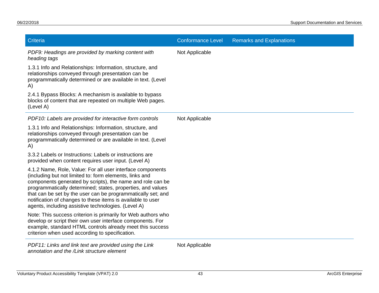| Criteria                                                                                                                                                                                                                                                                                                                                                                                                                                 | <b>Conformance Level</b> | <b>Remarks and Explanations</b> |
|------------------------------------------------------------------------------------------------------------------------------------------------------------------------------------------------------------------------------------------------------------------------------------------------------------------------------------------------------------------------------------------------------------------------------------------|--------------------------|---------------------------------|
| PDF9: Headings are provided by marking content with<br>heading tags                                                                                                                                                                                                                                                                                                                                                                      | Not Applicable           |                                 |
| 1.3.1 Info and Relationships: Information, structure, and<br>relationships conveyed through presentation can be<br>programmatically determined or are available in text. (Level<br>A)                                                                                                                                                                                                                                                    |                          |                                 |
| 2.4.1 Bypass Blocks: A mechanism is available to bypass<br>blocks of content that are repeated on multiple Web pages.<br>(Level A)                                                                                                                                                                                                                                                                                                       |                          |                                 |
| PDF10: Labels are provided for interactive form controls                                                                                                                                                                                                                                                                                                                                                                                 | Not Applicable           |                                 |
| 1.3.1 Info and Relationships: Information, structure, and<br>relationships conveyed through presentation can be<br>programmatically determined or are available in text. (Level<br>A)                                                                                                                                                                                                                                                    |                          |                                 |
| 3.3.2 Labels or Instructions: Labels or instructions are<br>provided when content requires user input. (Level A)                                                                                                                                                                                                                                                                                                                         |                          |                                 |
| 4.1.2 Name, Role, Value: For all user interface components<br>(including but not limited to: form elements, links and<br>components generated by scripts), the name and role can be<br>programmatically determined; states, properties, and values<br>that can be set by the user can be programmatically set; and<br>notification of changes to these items is available to user<br>agents, including assistive technologies. (Level A) |                          |                                 |
| Note: This success criterion is primarily for Web authors who<br>develop or script their own user interface components. For<br>example, standard HTML controls already meet this success<br>criterion when used according to specification.                                                                                                                                                                                              |                          |                                 |
| PDF11: Links and link text are provided using the Link<br>annotation and the /Link structure element                                                                                                                                                                                                                                                                                                                                     | Not Applicable           |                                 |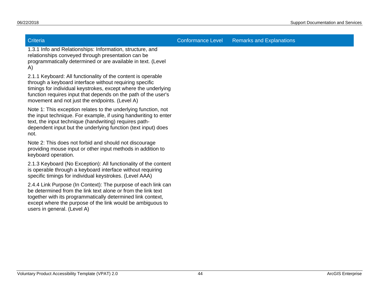Criteria Conformance Level Remarks and Explanations

1.3.1 Info and Relationships: Information, structure, and relationships conveyed through presentation can be programmatically determined or are available in text. (Level A)

2.1.1 Keyboard: All functionality of the content is operable through a keyboard interface without requiring specific timings for individual keystrokes, except where the underlying function requires input that depends on the path of the user's movement and not just the endpoints. (Level A)

Note 1: This exception relates to the underlying function, not the input technique. For example, if using handwriting to enter text, the input technique (handwriting) requires pathdependent input but the underlying function (text input) does not.

Note 2: This does not forbid and should not discourage providing mouse input or other input methods in addition to keyboard operation.

2.1.3 Keyboard (No Exception): All functionality of the content is operable through a keyboard interface without requiring specific timings for individual keystrokes. (Level AAA)

2.4.4 Link Purpose (In Context): The purpose of each link can be determined from the link text alone or from the link text together with its programmatically determined link context, except where the purpose of the link would be ambiguous to users in general. (Level A)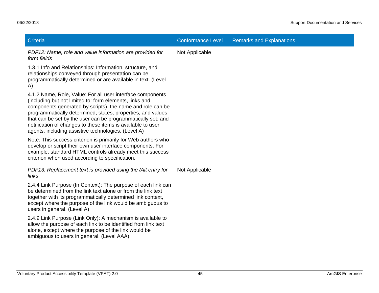| Criteria                                                                                                                                                                                                                                                                                                                                                                                                                                 | <b>Conformance Level</b> | <b>Remarks and Explanations</b> |
|------------------------------------------------------------------------------------------------------------------------------------------------------------------------------------------------------------------------------------------------------------------------------------------------------------------------------------------------------------------------------------------------------------------------------------------|--------------------------|---------------------------------|
| PDF12: Name, role and value information are provided for<br>form fields                                                                                                                                                                                                                                                                                                                                                                  | Not Applicable           |                                 |
| 1.3.1 Info and Relationships: Information, structure, and<br>relationships conveyed through presentation can be<br>programmatically determined or are available in text. (Level<br>A)                                                                                                                                                                                                                                                    |                          |                                 |
| 4.1.2 Name, Role, Value: For all user interface components<br>(including but not limited to: form elements, links and<br>components generated by scripts), the name and role can be<br>programmatically determined; states, properties, and values<br>that can be set by the user can be programmatically set; and<br>notification of changes to these items is available to user<br>agents, including assistive technologies. (Level A) |                          |                                 |
| Note: This success criterion is primarily for Web authors who<br>develop or script their own user interface components. For<br>example, standard HTML controls already meet this success<br>criterion when used according to specification.                                                                                                                                                                                              |                          |                                 |
| PDF13: Replacement text is provided using the /Alt entry for<br>links                                                                                                                                                                                                                                                                                                                                                                    | Not Applicable           |                                 |
| 2.4.4 Link Purpose (In Context): The purpose of each link can<br>be determined from the link text alone or from the link text<br>together with its programmatically determined link context,<br>except where the purpose of the link would be ambiguous to<br>users in general. (Level A)                                                                                                                                                |                          |                                 |
| 2.4.9 Link Purpose (Link Only): A mechanism is available to<br>allow the purpose of each link to be identified from link text<br>alone, except where the purpose of the link would be<br>ambiguous to users in general. (Level AAA)                                                                                                                                                                                                      |                          |                                 |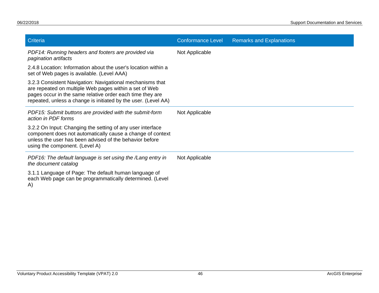| Criteria                                                                                                                                                                                                                                           | <b>Conformance Level</b> | <b>Remarks and Explanations</b> |
|----------------------------------------------------------------------------------------------------------------------------------------------------------------------------------------------------------------------------------------------------|--------------------------|---------------------------------|
| PDF14: Running headers and footers are provided via<br>pagination artifacts                                                                                                                                                                        | Not Applicable           |                                 |
| 2.4.8 Location: Information about the user's location within a<br>set of Web pages is available. (Level AAA)                                                                                                                                       |                          |                                 |
| 3.2.3 Consistent Navigation: Navigational mechanisms that<br>are repeated on multiple Web pages within a set of Web<br>pages occur in the same relative order each time they are<br>repeated, unless a change is initiated by the user. (Level AA) |                          |                                 |
| PDF15: Submit buttons are provided with the submit-form<br>action in PDF forms                                                                                                                                                                     | Not Applicable           |                                 |
| 3.2.2 On Input: Changing the setting of any user interface<br>component does not automatically cause a change of context<br>unless the user has been advised of the behavior before<br>using the component. (Level A)                              |                          |                                 |
| PDF16: The default language is set using the /Lang entry in<br>the document catalog                                                                                                                                                                | Not Applicable           |                                 |
| 3.1.1 Language of Page: The default human language of<br>each Web page can be programmatically determined. (Level<br>A)                                                                                                                            |                          |                                 |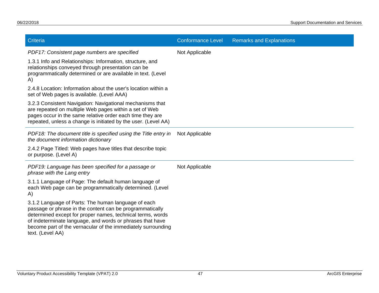| Criteria                                                                                                                                                                                                                                                                                                                       | <b>Conformance Level</b> | <b>Remarks and Explanations</b> |
|--------------------------------------------------------------------------------------------------------------------------------------------------------------------------------------------------------------------------------------------------------------------------------------------------------------------------------|--------------------------|---------------------------------|
| PDF17: Consistent page numbers are specified                                                                                                                                                                                                                                                                                   | Not Applicable           |                                 |
| 1.3.1 Info and Relationships: Information, structure, and<br>relationships conveyed through presentation can be<br>programmatically determined or are available in text. (Level<br>A)                                                                                                                                          |                          |                                 |
| 2.4.8 Location: Information about the user's location within a<br>set of Web pages is available. (Level AAA)                                                                                                                                                                                                                   |                          |                                 |
| 3.2.3 Consistent Navigation: Navigational mechanisms that<br>are repeated on multiple Web pages within a set of Web<br>pages occur in the same relative order each time they are<br>repeated, unless a change is initiated by the user. (Level AA)                                                                             |                          |                                 |
| PDF18: The document title is specified using the Title entry in<br>the document information dictionary                                                                                                                                                                                                                         | Not Applicable           |                                 |
| 2.4.2 Page Titled: Web pages have titles that describe topic<br>or purpose. (Level A)                                                                                                                                                                                                                                          |                          |                                 |
| PDF19: Language has been specified for a passage or<br>phrase with the Lang entry                                                                                                                                                                                                                                              | Not Applicable           |                                 |
| 3.1.1 Language of Page: The default human language of<br>each Web page can be programmatically determined. (Level<br>A)                                                                                                                                                                                                        |                          |                                 |
| 3.1.2 Language of Parts: The human language of each<br>passage or phrase in the content can be programmatically<br>determined except for proper names, technical terms, words<br>of indeterminate language, and words or phrases that have<br>become part of the vernacular of the immediately surrounding<br>text. (Level AA) |                          |                                 |